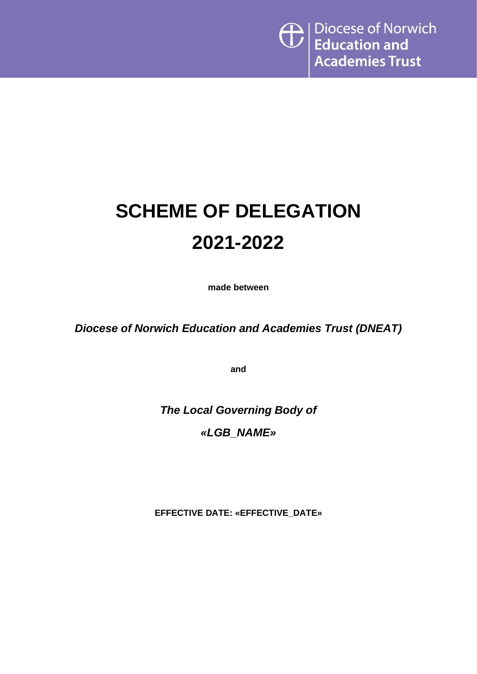# **SCHEME OF DELEGATION 2021-2022**

**made between**

*Diocese of Norwich Education and Academies Trust (DNEAT)*

**and**

*The Local Governing Body of «LGB\_NAME»*

**EFFECTIVE DATE: «EFFECTIVE\_DATE»**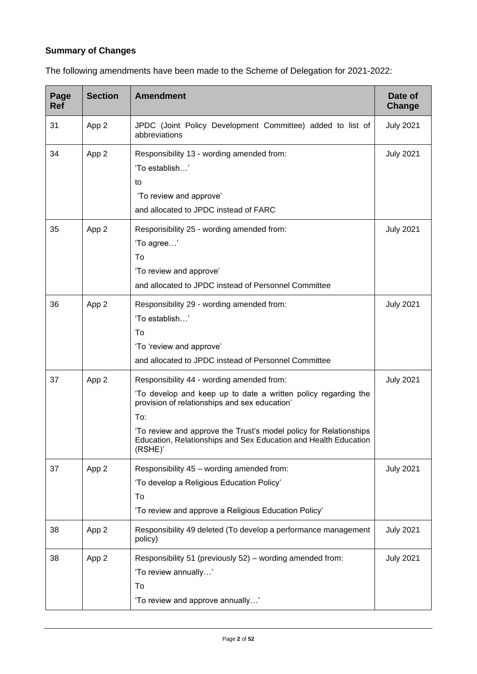# **Summary of Changes**

| Page<br><b>Ref</b> | <b>Section</b> | <b>Amendment</b>                                                                                                                                                                                                                                                                                                       | Date of<br>Change |
|--------------------|----------------|------------------------------------------------------------------------------------------------------------------------------------------------------------------------------------------------------------------------------------------------------------------------------------------------------------------------|-------------------|
| 31                 | App 2          | JPDC (Joint Policy Development Committee) added to list of<br>abbreviations                                                                                                                                                                                                                                            | <b>July 2021</b>  |
| 34                 | App 2          | Responsibility 13 - wording amended from:<br>'To establish'<br>to<br>'To review and approve'<br>and allocated to JPDC instead of FARC                                                                                                                                                                                  | <b>July 2021</b>  |
| 35                 | App 2          | Responsibility 25 - wording amended from:<br>'To agree'<br>To<br>'To review and approve'<br>and allocated to JPDC instead of Personnel Committee                                                                                                                                                                       | <b>July 2021</b>  |
| 36                 | App 2          | Responsibility 29 - wording amended from:<br>'To establish'<br>To<br>'To 'review and approve'<br>and allocated to JPDC instead of Personnel Committee                                                                                                                                                                  | <b>July 2021</b>  |
| 37                 | App 2          | Responsibility 44 - wording amended from:<br>'To develop and keep up to date a written policy regarding the<br>provision of relationships and sex education'<br>To:<br>'To review and approve the Trust's model policy for Relationships<br>Education, Relationships and Sex Education and Health Education<br>(RSHE)' | <b>July 2021</b>  |
| 37                 | App 2          | Responsibility 45 - wording amended from:<br>'To develop a Religious Education Policy'<br>To<br>'To review and approve a Religious Education Policy'                                                                                                                                                                   | <b>July 2021</b>  |
| 38                 | App 2          | Responsibility 49 deleted (To develop a performance management<br>policy)                                                                                                                                                                                                                                              | <b>July 2021</b>  |
| 38                 | App 2          | Responsibility 51 (previously 52) – wording amended from:<br>'To review annually'<br>To<br>'To review and approve annually'                                                                                                                                                                                            | <b>July 2021</b>  |

The following amendments have been made to the Scheme of Delegation for 2021-2022: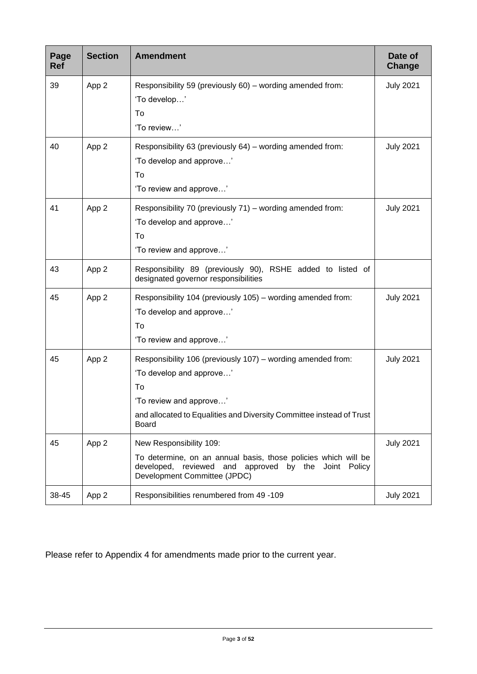| Page<br><b>Ref</b> | <b>Section</b> | <b>Amendment</b>                                                                                                                                                                                                 | Date of<br>Change |
|--------------------|----------------|------------------------------------------------------------------------------------------------------------------------------------------------------------------------------------------------------------------|-------------------|
| 39                 | App 2          | Responsibility 59 (previously 60) – wording amended from:<br>'To develop'<br>To<br>'To review'                                                                                                                   | <b>July 2021</b>  |
| 40                 | App 2          | Responsibility 63 (previously 64) – wording amended from:<br>'To develop and approve'<br>To<br>'To review and approve'                                                                                           | <b>July 2021</b>  |
| 41                 | App 2          | Responsibility 70 (previously 71) – wording amended from:<br>'To develop and approve'<br>To<br>'To review and approve'                                                                                           | <b>July 2021</b>  |
| 43                 | App 2          | Responsibility 89 (previously 90), RSHE added to listed of<br>designated governor responsibilities                                                                                                               |                   |
| 45                 | App 2          | Responsibility 104 (previously 105) – wording amended from:<br>'To develop and approve'<br>To<br>'To review and approve'                                                                                         | <b>July 2021</b>  |
| 45                 | App 2          | Responsibility 106 (previously 107) – wording amended from:<br>'To develop and approve'<br>To<br>'To review and approve'<br>and allocated to Equalities and Diversity Committee instead of Trust<br><b>Board</b> | <b>July 2021</b>  |
| 45                 | App 2          | New Responsibility 109:<br>To determine, on an annual basis, those policies which will be<br>developed, reviewed and approved by the<br>Joint<br>Policy<br>Development Committee (JPDC)                          | <b>July 2021</b>  |
| 38-45              | App 2          | Responsibilities renumbered from 49 -109                                                                                                                                                                         | <b>July 2021</b>  |

Please refer to Appendix 4 for amendments made prior to the current year.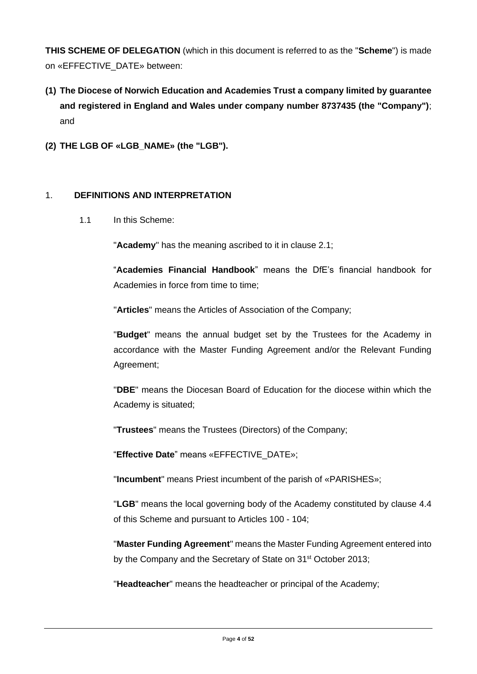**THIS SCHEME OF DELEGATION** (which in this document is referred to as the "**Scheme**") is made on «EFFECTIVE\_DATE» between:

- **(1) The Diocese of Norwich Education and Academies Trust a company limited by guarantee and registered in England and Wales under company number 8737435 (the "Company")**; and
- **(2) THE LGB OF «LGB\_NAME» (the "LGB").**

#### 1. **DEFINITIONS AND INTERPRETATION**

1.1 In this Scheme:

"**Academy**" has the meaning ascribed to it in clause 2.1;

"**Academies Financial Handbook**" means the DfE's financial handbook for Academies in force from time to time;

"**Articles**" means the Articles of Association of the Company;

"**Budget**" means the annual budget set by the Trustees for the Academy in accordance with the Master Funding Agreement and/or the Relevant Funding Agreement;

"**DBE**" means the Diocesan Board of Education for the diocese within which the Academy is situated;

"**Trustees**" means the Trustees (Directors) of the Company;

"**Effective Date**" means «EFFECTIVE\_DATE»;

"**Incumbent**" means Priest incumbent of the parish of «PARISHES»;

"**LGB**" means the local governing body of the Academy constituted by clause 4.4 of this Scheme and pursuant to Articles 100 - 104;

"**Master Funding Agreement**" means the Master Funding Agreement entered into by the Company and the Secretary of State on 31<sup>st</sup> October 2013;

"**Headteacher**" means the headteacher or principal of the Academy;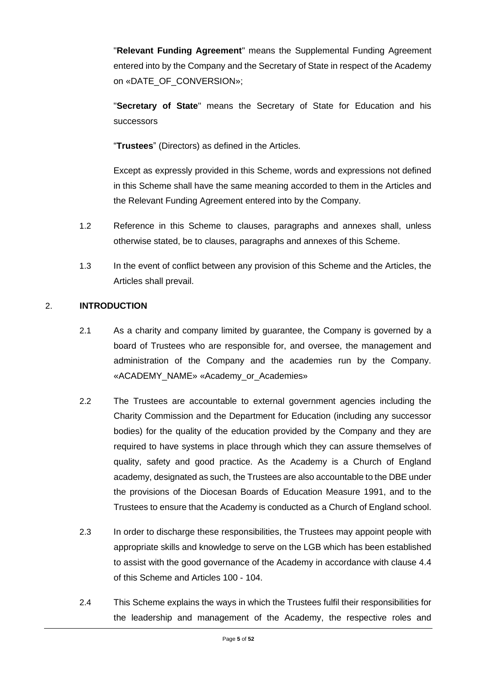"**Relevant Funding Agreement**" means the Supplemental Funding Agreement entered into by the Company and the Secretary of State in respect of the Academy on «DATE\_OF\_CONVERSION»;

"**Secretary of State**" means the Secretary of State for Education and his successors

"**Trustees**" (Directors) as defined in the Articles.

Except as expressly provided in this Scheme, words and expressions not defined in this Scheme shall have the same meaning accorded to them in the Articles and the Relevant Funding Agreement entered into by the Company.

- 1.2 Reference in this Scheme to clauses, paragraphs and annexes shall, unless otherwise stated, be to clauses, paragraphs and annexes of this Scheme.
- 1.3 In the event of conflict between any provision of this Scheme and the Articles, the Articles shall prevail.

#### 2. **INTRODUCTION**

- 2.1 As a charity and company limited by guarantee, the Company is governed by a board of Trustees who are responsible for, and oversee, the management and administration of the Company and the academies run by the Company. «ACADEMY\_NAME» «Academy\_or\_Academies»
- 2.2 The Trustees are accountable to external government agencies including the Charity Commission and the Department for Education (including any successor bodies) for the quality of the education provided by the Company and they are required to have systems in place through which they can assure themselves of quality, safety and good practice. As the Academy is a Church of England academy, designated as such, the Trustees are also accountable to the DBE under the provisions of the Diocesan Boards of Education Measure 1991, and to the Trustees to ensure that the Academy is conducted as a Church of England school.
- 2.3 In order to discharge these responsibilities, the Trustees may appoint people with appropriate skills and knowledge to serve on the LGB which has been established to assist with the good governance of the Academy in accordance with clause 4.4 of this Scheme and Articles 100 - 104.
- 2.4 This Scheme explains the ways in which the Trustees fulfil their responsibilities for the leadership and management of the Academy, the respective roles and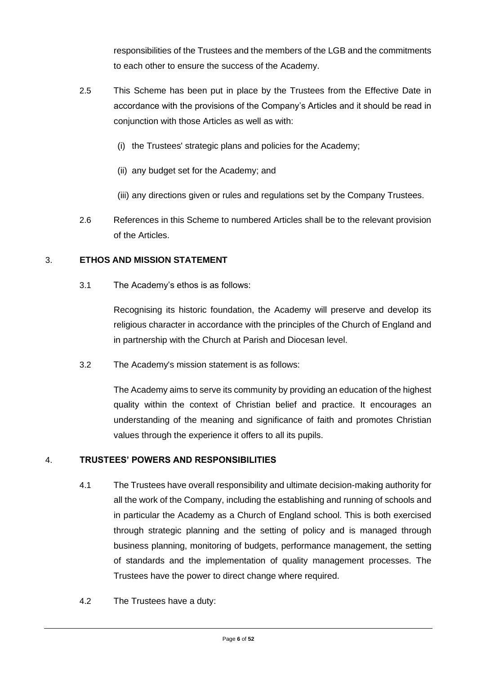responsibilities of the Trustees and the members of the LGB and the commitments to each other to ensure the success of the Academy.

- 2.5 This Scheme has been put in place by the Trustees from the Effective Date in accordance with the provisions of the Company's Articles and it should be read in conjunction with those Articles as well as with:
	- (i) the Trustees' strategic plans and policies for the Academy;
	- (ii) any budget set for the Academy; and
	- (iii) any directions given or rules and regulations set by the Company Trustees.
- 2.6 References in this Scheme to numbered Articles shall be to the relevant provision of the Articles.

#### 3. **ETHOS AND MISSION STATEMENT**

3.1 The Academy's ethos is as follows:

Recognising its historic foundation, the Academy will preserve and develop its religious character in accordance with the principles of the Church of England and in partnership with the Church at Parish and Diocesan level.

3.2 The Academy's mission statement is as follows:

The Academy aims to serve its community by providing an education of the highest quality within the context of Christian belief and practice. It encourages an understanding of the meaning and significance of faith and promotes Christian values through the experience it offers to all its pupils.

#### 4. **TRUSTEES' POWERS AND RESPONSIBILITIES**

- 4.1 The Trustees have overall responsibility and ultimate decision-making authority for all the work of the Company, including the establishing and running of schools and in particular the Academy as a Church of England school. This is both exercised through strategic planning and the setting of policy and is managed through business planning, monitoring of budgets, performance management, the setting of standards and the implementation of quality management processes. The Trustees have the power to direct change where required.
- 4.2 The Trustees have a duty: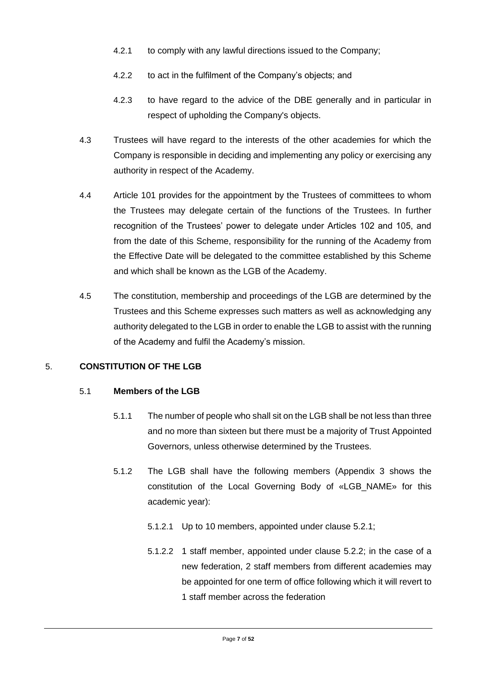- 4.2.1 to comply with any lawful directions issued to the Company;
- 4.2.2 to act in the fulfilment of the Company's objects; and
- 4.2.3 to have regard to the advice of the DBE generally and in particular in respect of upholding the Company's objects.
- 4.3 Trustees will have regard to the interests of the other academies for which the Company is responsible in deciding and implementing any policy or exercising any authority in respect of the Academy.
- 4.4 Article 101 provides for the appointment by the Trustees of committees to whom the Trustees may delegate certain of the functions of the Trustees. In further recognition of the Trustees' power to delegate under Articles 102 and 105, and from the date of this Scheme, responsibility for the running of the Academy from the Effective Date will be delegated to the committee established by this Scheme and which shall be known as the LGB of the Academy.
- 4.5 The constitution, membership and proceedings of the LGB are determined by the Trustees and this Scheme expresses such matters as well as acknowledging any authority delegated to the LGB in order to enable the LGB to assist with the running of the Academy and fulfil the Academy's mission.

#### 5. **CONSTITUTION OF THE LGB**

#### 5.1 **Members of the LGB**

- 5.1.1 The number of people who shall sit on the LGB shall be not less than three and no more than sixteen but there must be a majority of Trust Appointed Governors, unless otherwise determined by the Trustees.
- 5.1.2 The LGB shall have the following members (Appendix 3 shows the constitution of the Local Governing Body of «LGB\_NAME» for this academic year):
	- 5.1.2.1 Up to 10 members, appointed under clause 5.2.1;
	- 5.1.2.2 1 staff member, appointed under clause 5.2.2; in the case of a new federation, 2 staff members from different academies may be appointed for one term of office following which it will revert to 1 staff member across the federation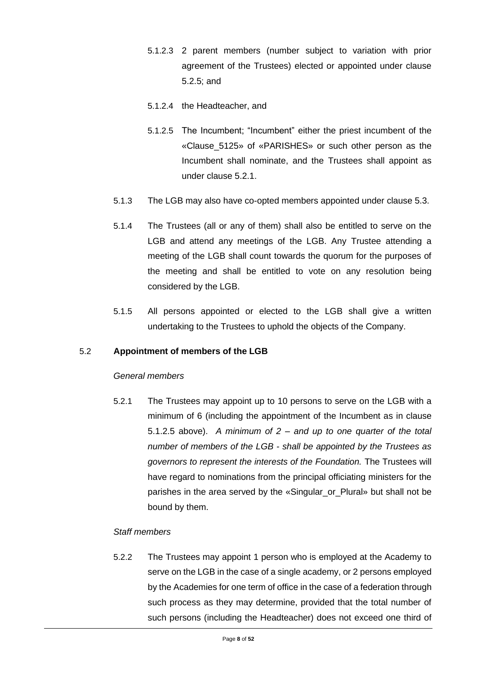- 5.1.2.3 2 parent members (number subject to variation with prior agreement of the Trustees) elected or appointed under clause 5.2.5; and
- 5.1.2.4 the Headteacher, and
- 5.1.2.5 The Incumbent; "Incumbent" either the priest incumbent of the «Clause\_5125» of «PARISHES» or such other person as the Incumbent shall nominate, and the Trustees shall appoint as under clause 5.2.1.
- 5.1.3 The LGB may also have co-opted members appointed under clause 5.3.
- 5.1.4 The Trustees (all or any of them) shall also be entitled to serve on the LGB and attend any meetings of the LGB. Any Trustee attending a meeting of the LGB shall count towards the quorum for the purposes of the meeting and shall be entitled to vote on any resolution being considered by the LGB.
- 5.1.5 All persons appointed or elected to the LGB shall give a written undertaking to the Trustees to uphold the objects of the Company.

#### 5.2 **Appointment of members of the LGB**

#### *General members*

5.2.1 The Trustees may appoint up to 10 persons to serve on the LGB with a minimum of 6 (including the appointment of the Incumbent as in clause 5.1.2.5 above). *A minimum of 2 – and up to one quarter of the total number of members of the LGB - shall be appointed by the Trustees as governors to represent the interests of the Foundation.* The Trustees will have regard to nominations from the principal officiating ministers for the parishes in the area served by the «Singular\_or\_Plural» but shall not be bound by them.

#### *Staff members*

5.2.2 The Trustees may appoint 1 person who is employed at the Academy to serve on the LGB in the case of a single academy, or 2 persons employed by the Academies for one term of office in the case of a federation through such process as they may determine, provided that the total number of such persons (including the Headteacher) does not exceed one third of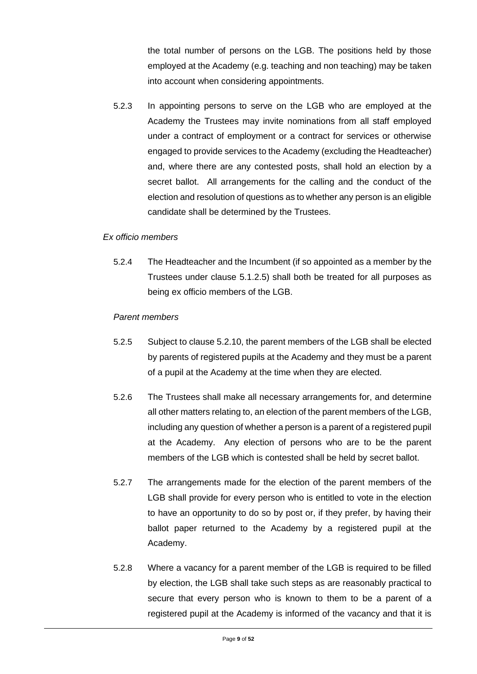the total number of persons on the LGB. The positions held by those employed at the Academy (e.g. teaching and non teaching) may be taken into account when considering appointments.

5.2.3 In appointing persons to serve on the LGB who are employed at the Academy the Trustees may invite nominations from all staff employed under a contract of employment or a contract for services or otherwise engaged to provide services to the Academy (excluding the Headteacher) and, where there are any contested posts, shall hold an election by a secret ballot. All arrangements for the calling and the conduct of the election and resolution of questions as to whether any person is an eligible candidate shall be determined by the Trustees.

#### *Ex officio members*

5.2.4 The Headteacher and the Incumbent (if so appointed as a member by the Trustees under clause 5.1.2.5) shall both be treated for all purposes as being ex officio members of the LGB.

#### *Parent members*

- 5.2.5 Subject to clause 5.2.10, the parent members of the LGB shall be elected by parents of registered pupils at the Academy and they must be a parent of a pupil at the Academy at the time when they are elected.
- 5.2.6 The Trustees shall make all necessary arrangements for, and determine all other matters relating to, an election of the parent members of the LGB, including any question of whether a person is a parent of a registered pupil at the Academy. Any election of persons who are to be the parent members of the LGB which is contested shall be held by secret ballot.
- 5.2.7 The arrangements made for the election of the parent members of the LGB shall provide for every person who is entitled to vote in the election to have an opportunity to do so by post or, if they prefer, by having their ballot paper returned to the Academy by a registered pupil at the Academy.
- 5.2.8 Where a vacancy for a parent member of the LGB is required to be filled by election, the LGB shall take such steps as are reasonably practical to secure that every person who is known to them to be a parent of a registered pupil at the Academy is informed of the vacancy and that it is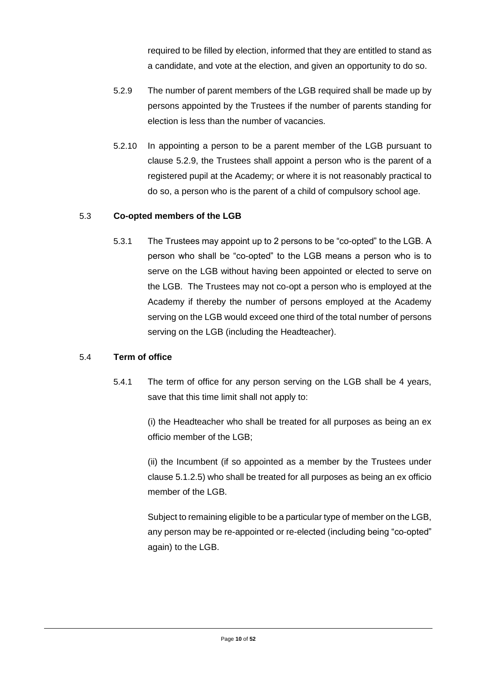required to be filled by election, informed that they are entitled to stand as a candidate, and vote at the election, and given an opportunity to do so.

- 5.2.9 The number of parent members of the LGB required shall be made up by persons appointed by the Trustees if the number of parents standing for election is less than the number of vacancies.
- 5.2.10 In appointing a person to be a parent member of the LGB pursuant to clause 5.2.9, the Trustees shall appoint a person who is the parent of a registered pupil at the Academy; or where it is not reasonably practical to do so, a person who is the parent of a child of compulsory school age.

#### 5.3 **Co-opted members of the LGB**

5.3.1 The Trustees may appoint up to 2 persons to be "co-opted" to the LGB. A person who shall be "co-opted" to the LGB means a person who is to serve on the LGB without having been appointed or elected to serve on the LGB. The Trustees may not co-opt a person who is employed at the Academy if thereby the number of persons employed at the Academy serving on the LGB would exceed one third of the total number of persons serving on the LGB (including the Headteacher).

#### 5.4 **Term of office**

5.4.1 The term of office for any person serving on the LGB shall be 4 years, save that this time limit shall not apply to:

> (i) the Headteacher who shall be treated for all purposes as being an ex officio member of the LGB;

> (ii) the Incumbent (if so appointed as a member by the Trustees under clause 5.1.2.5) who shall be treated for all purposes as being an ex officio member of the LGB.

> Subject to remaining eligible to be a particular type of member on the LGB, any person may be re-appointed or re-elected (including being "co-opted" again) to the LGB.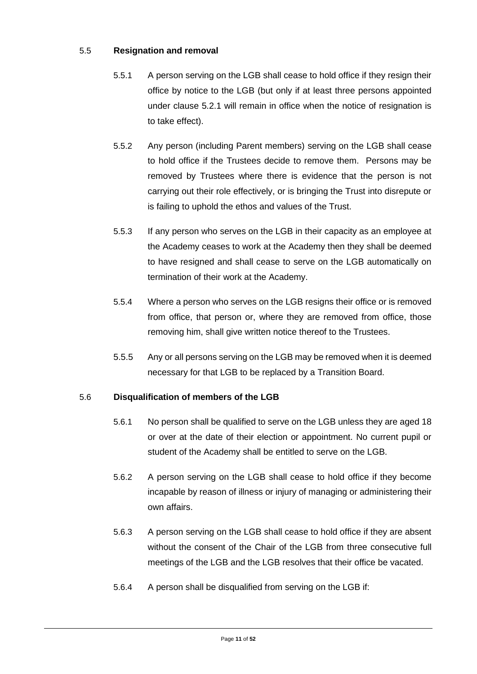#### 5.5 **Resignation and removal**

- 5.5.1 A person serving on the LGB shall cease to hold office if they resign their office by notice to the LGB (but only if at least three persons appointed under clause 5.2.1 will remain in office when the notice of resignation is to take effect).
- 5.5.2 Any person (including Parent members) serving on the LGB shall cease to hold office if the Trustees decide to remove them. Persons may be removed by Trustees where there is evidence that the person is not carrying out their role effectively, or is bringing the Trust into disrepute or is failing to uphold the ethos and values of the Trust.
- 5.5.3 If any person who serves on the LGB in their capacity as an employee at the Academy ceases to work at the Academy then they shall be deemed to have resigned and shall cease to serve on the LGB automatically on termination of their work at the Academy.
- 5.5.4 Where a person who serves on the LGB resigns their office or is removed from office, that person or, where they are removed from office, those removing him, shall give written notice thereof to the Trustees.
- 5.5.5 Any or all persons serving on the LGB may be removed when it is deemed necessary for that LGB to be replaced by a Transition Board.

#### 5.6 **Disqualification of members of the LGB**

- 5.6.1 No person shall be qualified to serve on the LGB unless they are aged 18 or over at the date of their election or appointment. No current pupil or student of the Academy shall be entitled to serve on the LGB.
- 5.6.2 A person serving on the LGB shall cease to hold office if they become incapable by reason of illness or injury of managing or administering their own affairs.
- 5.6.3 A person serving on the LGB shall cease to hold office if they are absent without the consent of the Chair of the LGB from three consecutive full meetings of the LGB and the LGB resolves that their office be vacated.
- 5.6.4 A person shall be disqualified from serving on the LGB if: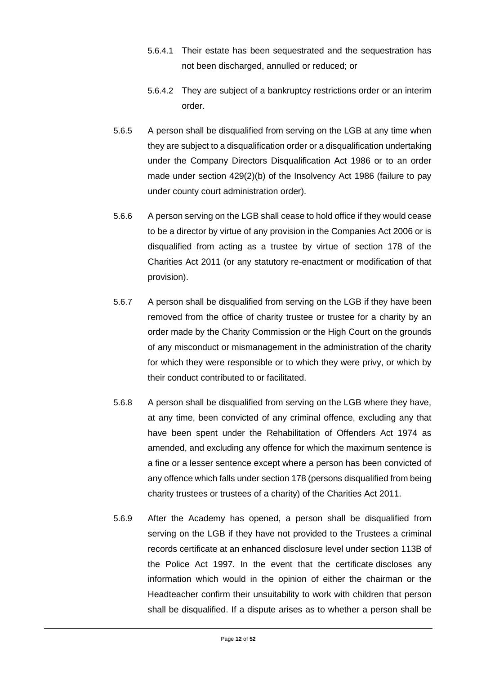- 5.6.4.1 Their estate has been sequestrated and the sequestration has not been discharged, annulled or reduced; or
- 5.6.4.2 They are subject of a bankruptcy restrictions order or an interim order.
- 5.6.5 A person shall be disqualified from serving on the LGB at any time when they are subject to a disqualification order or a disqualification undertaking under the Company Directors Disqualification Act 1986 or to an order made under section 429(2)(b) of the Insolvency Act 1986 (failure to pay under county court administration order).
- 5.6.6 A person serving on the LGB shall cease to hold office if they would cease to be a director by virtue of any provision in the Companies Act 2006 or is disqualified from acting as a trustee by virtue of section 178 of the Charities Act 2011 (or any statutory re-enactment or modification of that provision).
- 5.6.7 A person shall be disqualified from serving on the LGB if they have been removed from the office of charity trustee or trustee for a charity by an order made by the Charity Commission or the High Court on the grounds of any misconduct or mismanagement in the administration of the charity for which they were responsible or to which they were privy, or which by their conduct contributed to or facilitated.
- 5.6.8 A person shall be disqualified from serving on the LGB where they have, at any time, been convicted of any criminal offence, excluding any that have been spent under the Rehabilitation of Offenders Act 1974 as amended, and excluding any offence for which the maximum sentence is a fine or a lesser sentence except where a person has been convicted of any offence which falls under section 178 (persons disqualified from being charity trustees or trustees of a charity) of the Charities Act 2011.
- 5.6.9 After the Academy has opened, a person shall be disqualified from serving on the LGB if they have not provided to the Trustees a criminal records certificate at an enhanced disclosure level under section 113B of the Police Act 1997. In the event that the certificate discloses any information which would in the opinion of either the chairman or the Headteacher confirm their unsuitability to work with children that person shall be disqualified. If a dispute arises as to whether a person shall be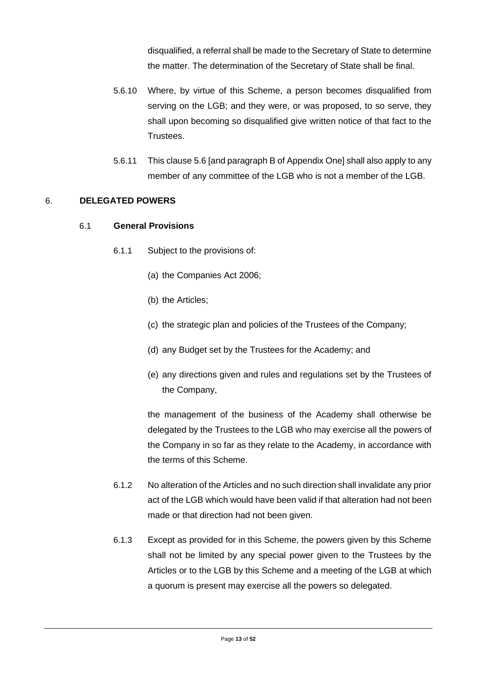disqualified, a referral shall be made to the Secretary of State to determine the matter. The determination of the Secretary of State shall be final.

- 5.6.10 Where, by virtue of this Scheme, a person becomes disqualified from serving on the LGB; and they were, or was proposed, to so serve, they shall upon becoming so disqualified give written notice of that fact to the Trustees.
- 5.6.11 This clause 5.6 [and paragraph B of Appendix One] shall also apply to any member of any committee of the LGB who is not a member of the LGB.

#### 6. **DELEGATED POWERS**

#### 6.1 **General Provisions**

- 6.1.1 Subject to the provisions of:
	- (a) the Companies Act 2006;
	- (b) the Articles;
	- (c) the strategic plan and policies of the Trustees of the Company;
	- (d) any Budget set by the Trustees for the Academy; and
	- (e) any directions given and rules and regulations set by the Trustees of the Company,

the management of the business of the Academy shall otherwise be delegated by the Trustees to the LGB who may exercise all the powers of the Company in so far as they relate to the Academy, in accordance with the terms of this Scheme.

- 6.1.2 No alteration of the Articles and no such direction shall invalidate any prior act of the LGB which would have been valid if that alteration had not been made or that direction had not been given.
- 6.1.3 Except as provided for in this Scheme, the powers given by this Scheme shall not be limited by any special power given to the Trustees by the Articles or to the LGB by this Scheme and a meeting of the LGB at which a quorum is present may exercise all the powers so delegated.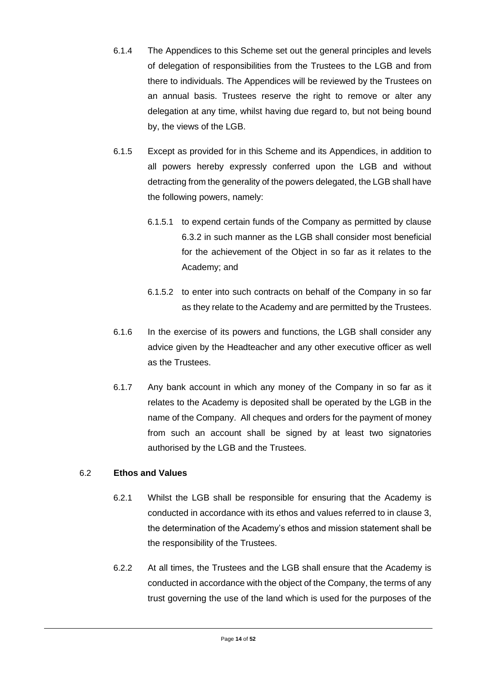- 6.1.4 The Appendices to this Scheme set out the general principles and levels of delegation of responsibilities from the Trustees to the LGB and from there to individuals. The Appendices will be reviewed by the Trustees on an annual basis. Trustees reserve the right to remove or alter any delegation at any time, whilst having due regard to, but not being bound by, the views of the LGB.
- 6.1.5 Except as provided for in this Scheme and its Appendices, in addition to all powers hereby expressly conferred upon the LGB and without detracting from the generality of the powers delegated, the LGB shall have the following powers, namely:
	- 6.1.5.1 to expend certain funds of the Company as permitted by clause 6.3.2 in such manner as the LGB shall consider most beneficial for the achievement of the Object in so far as it relates to the Academy; and
	- 6.1.5.2 to enter into such contracts on behalf of the Company in so far as they relate to the Academy and are permitted by the Trustees.
- 6.1.6 In the exercise of its powers and functions, the LGB shall consider any advice given by the Headteacher and any other executive officer as well as the Trustees.
- 6.1.7 Any bank account in which any money of the Company in so far as it relates to the Academy is deposited shall be operated by the LGB in the name of the Company. All cheques and orders for the payment of money from such an account shall be signed by at least two signatories authorised by the LGB and the Trustees.

#### 6.2 **Ethos and Values**

- 6.2.1 Whilst the LGB shall be responsible for ensuring that the Academy is conducted in accordance with its ethos and values referred to in clause 3, the determination of the Academy's ethos and mission statement shall be the responsibility of the Trustees.
- 6.2.2 At all times, the Trustees and the LGB shall ensure that the Academy is conducted in accordance with the object of the Company, the terms of any trust governing the use of the land which is used for the purposes of the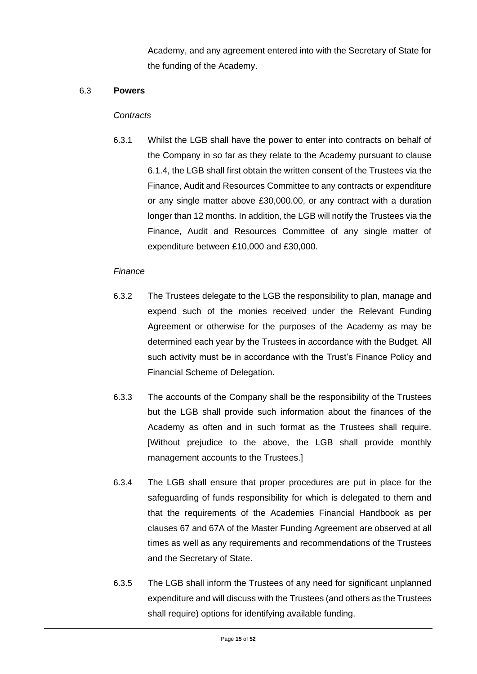Academy, and any agreement entered into with the Secretary of State for the funding of the Academy.

#### 6.3 **Powers**

#### *Contracts*

6.3.1 Whilst the LGB shall have the power to enter into contracts on behalf of the Company in so far as they relate to the Academy pursuant to clause 6.1.4, the LGB shall first obtain the written consent of the Trustees via the Finance, Audit and Resources Committee to any contracts or expenditure or any single matter above £30,000.00, or any contract with a duration longer than 12 months. In addition, the LGB will notify the Trustees via the Finance, Audit and Resources Committee of any single matter of expenditure between £10,000 and £30,000.

#### *Finance*

- 6.3.2 The Trustees delegate to the LGB the responsibility to plan, manage and expend such of the monies received under the Relevant Funding Agreement or otherwise for the purposes of the Academy as may be determined each year by the Trustees in accordance with the Budget. All such activity must be in accordance with the Trust's Finance Policy and Financial Scheme of Delegation.
- 6.3.3 The accounts of the Company shall be the responsibility of the Trustees but the LGB shall provide such information about the finances of the Academy as often and in such format as the Trustees shall require. [Without prejudice to the above, the LGB shall provide monthly management accounts to the Trustees.]
- 6.3.4 The LGB shall ensure that proper procedures are put in place for the safeguarding of funds responsibility for which is delegated to them and that the requirements of the Academies Financial Handbook as per clauses 67 and 67A of the Master Funding Agreement are observed at all times as well as any requirements and recommendations of the Trustees and the Secretary of State.
- 6.3.5 The LGB shall inform the Trustees of any need for significant unplanned expenditure and will discuss with the Trustees (and others as the Trustees shall require) options for identifying available funding.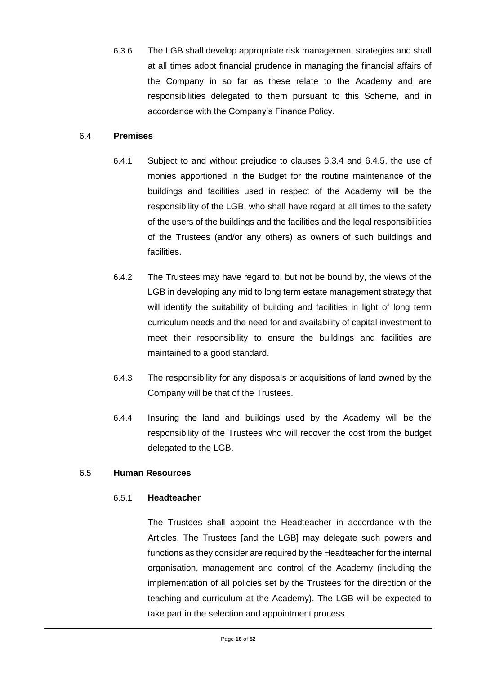6.3.6 The LGB shall develop appropriate risk management strategies and shall at all times adopt financial prudence in managing the financial affairs of the Company in so far as these relate to the Academy and are responsibilities delegated to them pursuant to this Scheme, and in accordance with the Company's Finance Policy.

#### 6.4 **Premises**

- 6.4.1 Subject to and without prejudice to clauses 6.3.4 and 6.4.5, the use of monies apportioned in the Budget for the routine maintenance of the buildings and facilities used in respect of the Academy will be the responsibility of the LGB, who shall have regard at all times to the safety of the users of the buildings and the facilities and the legal responsibilities of the Trustees (and/or any others) as owners of such buildings and facilities.
- 6.4.2 The Trustees may have regard to, but not be bound by, the views of the LGB in developing any mid to long term estate management strategy that will identify the suitability of building and facilities in light of long term curriculum needs and the need for and availability of capital investment to meet their responsibility to ensure the buildings and facilities are maintained to a good standard.
- 6.4.3 The responsibility for any disposals or acquisitions of land owned by the Company will be that of the Trustees.
- 6.4.4 Insuring the land and buildings used by the Academy will be the responsibility of the Trustees who will recover the cost from the budget delegated to the LGB.

#### 6.5 **Human Resources**

#### 6.5.1 **Headteacher**

The Trustees shall appoint the Headteacher in accordance with the Articles. The Trustees [and the LGB] may delegate such powers and functions as they consider are required by the Headteacher for the internal organisation, management and control of the Academy (including the implementation of all policies set by the Trustees for the direction of the teaching and curriculum at the Academy). The LGB will be expected to take part in the selection and appointment process.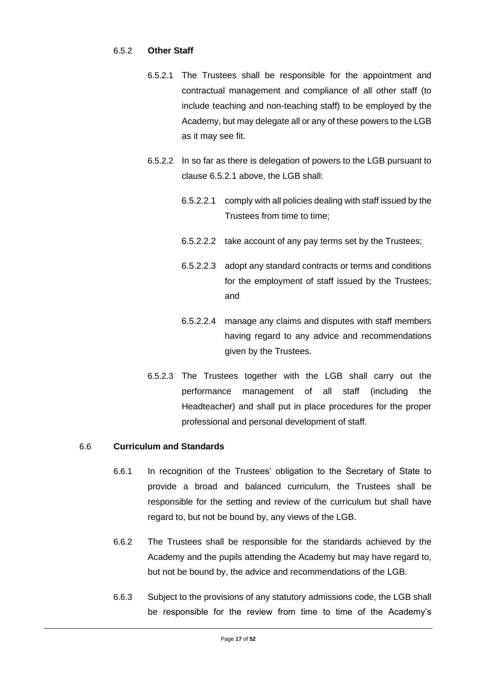#### 6.5.2 **Other Staff**

- 6.5.2.1 The Trustees shall be responsible for the appointment and contractual management and compliance of all other staff (to include teaching and non-teaching staff) to be employed by the Academy, but may delegate all or any of these powers to the LGB as it may see fit.
- 6.5.2.2 In so far as there is delegation of powers to the LGB pursuant to clause 6.5.2.1 above, the LGB shall:
	- 6.5.2.2.1 comply with all policies dealing with staff issued by the Trustees from time to time;
	- 6.5.2.2.2 take account of any pay terms set by the Trustees;
	- 6.5.2.2.3 adopt any standard contracts or terms and conditions for the employment of staff issued by the Trustees; and
	- 6.5.2.2.4 manage any claims and disputes with staff members having regard to any advice and recommendations given by the Trustees.
- 6.5.2.3 The Trustees together with the LGB shall carry out the performance management of all staff (including the Headteacher) and shall put in place procedures for the proper professional and personal development of staff.

#### 6.6 **Curriculum and Standards**

- 6.6.1 In recognition of the Trustees' obligation to the Secretary of State to provide a broad and balanced curriculum, the Trustees shall be responsible for the setting and review of the curriculum but shall have regard to, but not be bound by, any views of the LGB.
- 6.6.2 The Trustees shall be responsible for the standards achieved by the Academy and the pupils attending the Academy but may have regard to, but not be bound by, the advice and recommendations of the LGB.
- 6.6.3 Subject to the provisions of any statutory admissions code, the LGB shall be responsible for the review from time to time of the Academy's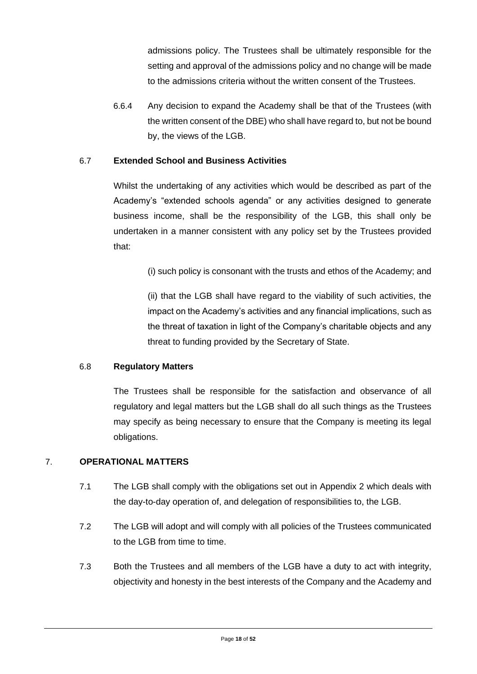admissions policy. The Trustees shall be ultimately responsible for the setting and approval of the admissions policy and no change will be made to the admissions criteria without the written consent of the Trustees.

6.6.4 Any decision to expand the Academy shall be that of the Trustees (with the written consent of the DBE) who shall have regard to, but not be bound by, the views of the LGB.

#### 6.7 **Extended School and Business Activities**

Whilst the undertaking of any activities which would be described as part of the Academy's "extended schools agenda" or any activities designed to generate business income, shall be the responsibility of the LGB, this shall only be undertaken in a manner consistent with any policy set by the Trustees provided that:

(i) such policy is consonant with the trusts and ethos of the Academy; and

(ii) that the LGB shall have regard to the viability of such activities, the impact on the Academy's activities and any financial implications, such as the threat of taxation in light of the Company's charitable objects and any threat to funding provided by the Secretary of State.

#### 6.8 **Regulatory Matters**

The Trustees shall be responsible for the satisfaction and observance of all regulatory and legal matters but the LGB shall do all such things as the Trustees may specify as being necessary to ensure that the Company is meeting its legal obligations.

#### 7. **OPERATIONAL MATTERS**

- 7.1 The LGB shall comply with the obligations set out in Appendix 2 which deals with the day-to-day operation of, and delegation of responsibilities to, the LGB.
- 7.2 The LGB will adopt and will comply with all policies of the Trustees communicated to the LGB from time to time.
- 7.3 Both the Trustees and all members of the LGB have a duty to act with integrity, objectivity and honesty in the best interests of the Company and the Academy and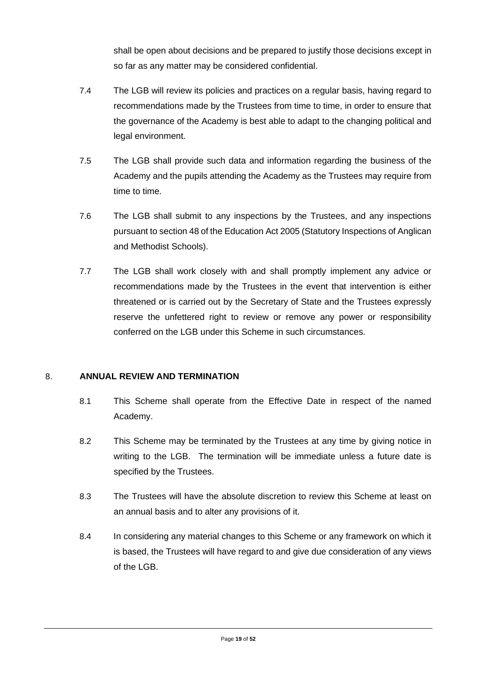shall be open about decisions and be prepared to justify those decisions except in so far as any matter may be considered confidential.

- 7.4 The LGB will review its policies and practices on a regular basis, having regard to recommendations made by the Trustees from time to time, in order to ensure that the governance of the Academy is best able to adapt to the changing political and legal environment.
- 7.5 The LGB shall provide such data and information regarding the business of the Academy and the pupils attending the Academy as the Trustees may require from time to time.
- 7.6 The LGB shall submit to any inspections by the Trustees, and any inspections pursuant to section 48 of the Education Act 2005 (Statutory Inspections of Anglican and Methodist Schools).
- 7.7 The LGB shall work closely with and shall promptly implement any advice or recommendations made by the Trustees in the event that intervention is either threatened or is carried out by the Secretary of State and the Trustees expressly reserve the unfettered right to review or remove any power or responsibility conferred on the LGB under this Scheme in such circumstances.

#### 8. **ANNUAL REVIEW AND TERMINATION**

- 8.1 This Scheme shall operate from the Effective Date in respect of the named Academy.
- 8.2 This Scheme may be terminated by the Trustees at any time by giving notice in writing to the LGB. The termination will be immediate unless a future date is specified by the Trustees.
- 8.3 The Trustees will have the absolute discretion to review this Scheme at least on an annual basis and to alter any provisions of it.
- 8.4 In considering any material changes to this Scheme or any framework on which it is based, the Trustees will have regard to and give due consideration of any views of the LGB.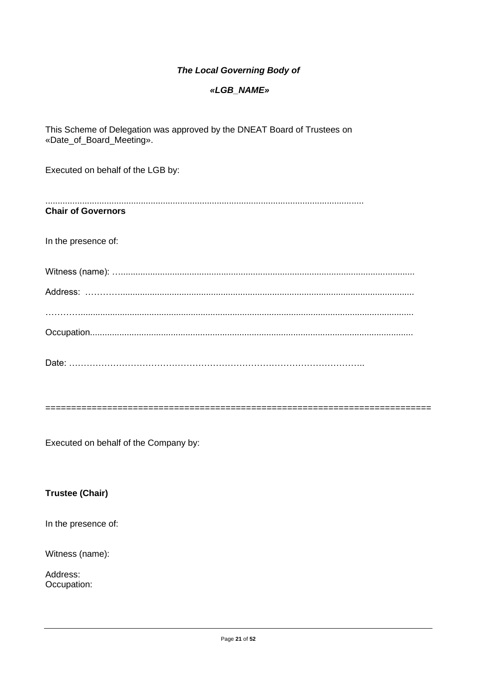#### **The Local Governing Body of**

#### «LGB\_NAME»

This Scheme of Delegation was approved by the DNEAT Board of Trustees on «Date\_of\_Board\_Meeting».

Executed on behalf of the LGB by:

**Chair of Governors** 

In the presence of:

Executed on behalf of the Company by:

#### **Trustee (Chair)**

In the presence of:

Witness (name):

Address: Occupation: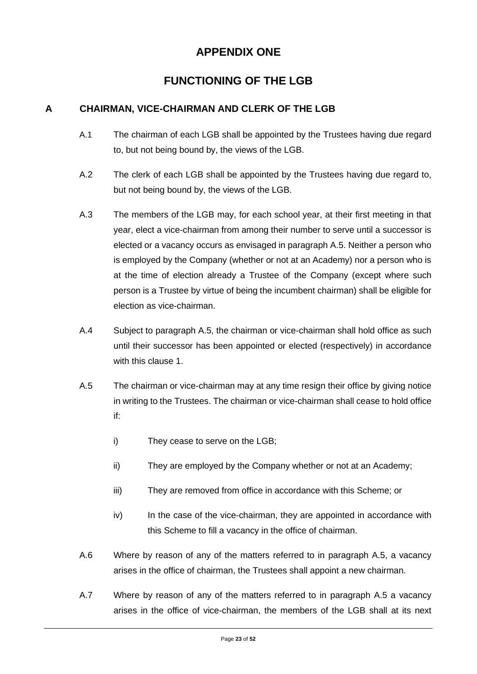# **APPENDIX ONE**

# **FUNCTIONING OF THE LGB**

#### **A CHAIRMAN, VICE-CHAIRMAN AND CLERK OF THE LGB**

- A.1 The chairman of each LGB shall be appointed by the Trustees having due regard to, but not being bound by, the views of the LGB.
- A.2 The clerk of each LGB shall be appointed by the Trustees having due regard to, but not being bound by, the views of the LGB.
- A.3 The members of the LGB may, for each school year, at their first meeting in that year, elect a vice-chairman from among their number to serve until a successor is elected or a vacancy occurs as envisaged in paragraph A.5. Neither a person who is employed by the Company (whether or not at an Academy) nor a person who is at the time of election already a Trustee of the Company (except where such person is a Trustee by virtue of being the incumbent chairman) shall be eligible for election as vice-chairman.
- A.4 Subject to paragraph A.5, the chairman or vice-chairman shall hold office as such until their successor has been appointed or elected (respectively) in accordance with this clause 1.
- A.5 The chairman or vice-chairman may at any time resign their office by giving notice in writing to the Trustees. The chairman or vice-chairman shall cease to hold office if:
	- i) They cease to serve on the LGB;
	- ii) They are employed by the Company whether or not at an Academy;
	- iii) They are removed from office in accordance with this Scheme; or
	- iv) In the case of the vice-chairman, they are appointed in accordance with this Scheme to fill a vacancy in the office of chairman.
- A.6 Where by reason of any of the matters referred to in paragraph A.5, a vacancy arises in the office of chairman, the Trustees shall appoint a new chairman.
- A.7 Where by reason of any of the matters referred to in paragraph A.5 a vacancy arises in the office of vice-chairman, the members of the LGB shall at its next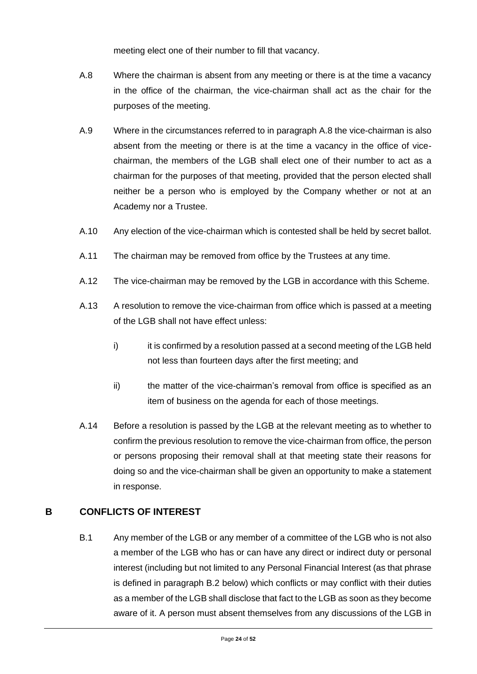meeting elect one of their number to fill that vacancy.

- A.8 Where the chairman is absent from any meeting or there is at the time a vacancy in the office of the chairman, the vice-chairman shall act as the chair for the purposes of the meeting.
- A.9 Where in the circumstances referred to in paragraph A.8 the vice-chairman is also absent from the meeting or there is at the time a vacancy in the office of vicechairman, the members of the LGB shall elect one of their number to act as a chairman for the purposes of that meeting, provided that the person elected shall neither be a person who is employed by the Company whether or not at an Academy nor a Trustee.
- A.10 Any election of the vice-chairman which is contested shall be held by secret ballot.
- A.11 The chairman may be removed from office by the Trustees at any time.
- A.12 The vice-chairman may be removed by the LGB in accordance with this Scheme.
- A.13 A resolution to remove the vice-chairman from office which is passed at a meeting of the LGB shall not have effect unless:
	- i) it is confirmed by a resolution passed at a second meeting of the LGB held not less than fourteen days after the first meeting; and
	- ii) the matter of the vice-chairman's removal from office is specified as an item of business on the agenda for each of those meetings.
- A.14 Before a resolution is passed by the LGB at the relevant meeting as to whether to confirm the previous resolution to remove the vice-chairman from office, the person or persons proposing their removal shall at that meeting state their reasons for doing so and the vice-chairman shall be given an opportunity to make a statement in response.

#### **B CONFLICTS OF INTEREST**

B.1 Any member of the LGB or any member of a committee of the LGB who is not also a member of the LGB who has or can have any direct or indirect duty or personal interest (including but not limited to any Personal Financial Interest (as that phrase is defined in paragraph B.2 below) which conflicts or may conflict with their duties as a member of the LGB shall disclose that fact to the LGB as soon as they become aware of it. A person must absent themselves from any discussions of the LGB in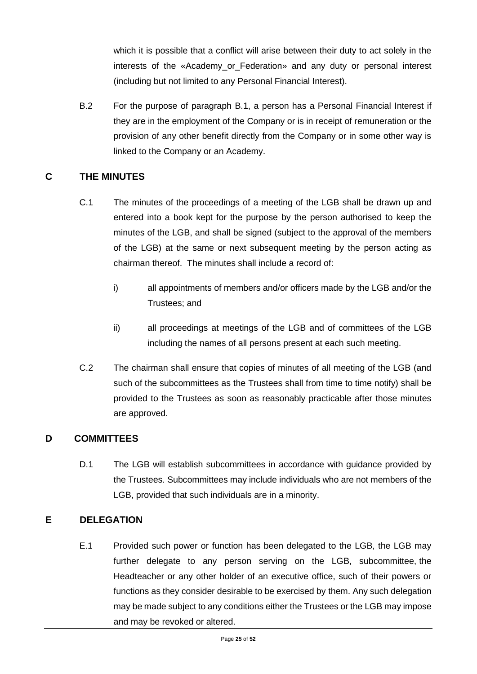which it is possible that a conflict will arise between their duty to act solely in the interests of the «Academy or Federation» and any duty or personal interest (including but not limited to any Personal Financial Interest).

B.2 For the purpose of paragraph B.1, a person has a Personal Financial Interest if they are in the employment of the Company or is in receipt of remuneration or the provision of any other benefit directly from the Company or in some other way is linked to the Company or an Academy.

#### **C THE MINUTES**

- C.1 The minutes of the proceedings of a meeting of the LGB shall be drawn up and entered into a book kept for the purpose by the person authorised to keep the minutes of the LGB, and shall be signed (subject to the approval of the members of the LGB) at the same or next subsequent meeting by the person acting as chairman thereof. The minutes shall include a record of:
	- i) all appointments of members and/or officers made by the LGB and/or the Trustees; and
	- ii) all proceedings at meetings of the LGB and of committees of the LGB including the names of all persons present at each such meeting.
- C.2 The chairman shall ensure that copies of minutes of all meeting of the LGB (and such of the subcommittees as the Trustees shall from time to time notify) shall be provided to the Trustees as soon as reasonably practicable after those minutes are approved.

#### **D COMMITTEES**

D.1 The LGB will establish subcommittees in accordance with guidance provided by the Trustees. Subcommittees may include individuals who are not members of the LGB, provided that such individuals are in a minority.

#### **E DELEGATION**

E.1 Provided such power or function has been delegated to the LGB, the LGB may further delegate to any person serving on the LGB, subcommittee, the Headteacher or any other holder of an executive office, such of their powers or functions as they consider desirable to be exercised by them. Any such delegation may be made subject to any conditions either the Trustees or the LGB may impose and may be revoked or altered.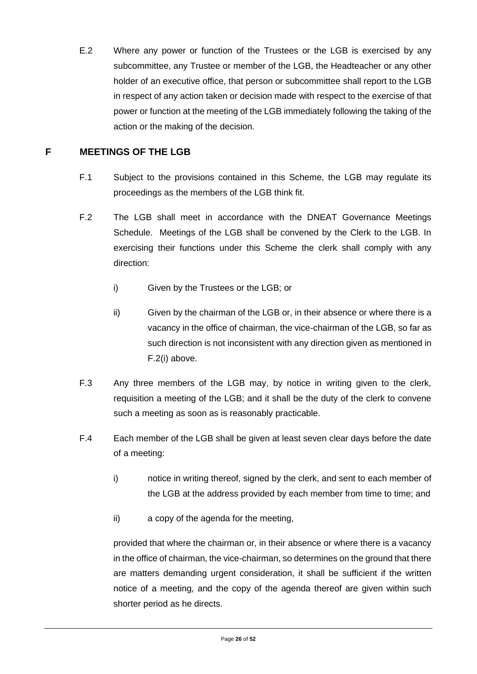E.2 Where any power or function of the Trustees or the LGB is exercised by any subcommittee, any Trustee or member of the LGB, the Headteacher or any other holder of an executive office, that person or subcommittee shall report to the LGB in respect of any action taken or decision made with respect to the exercise of that power or function at the meeting of the LGB immediately following the taking of the action or the making of the decision.

#### **F MEETINGS OF THE LGB**

- F.1 Subject to the provisions contained in this Scheme, the LGB may regulate its proceedings as the members of the LGB think fit.
- F.2 The LGB shall meet in accordance with the DNEAT Governance Meetings Schedule. Meetings of the LGB shall be convened by the Clerk to the LGB. In exercising their functions under this Scheme the clerk shall comply with any direction:
	- i) Given by the Trustees or the LGB; or
	- ii) Given by the chairman of the LGB or, in their absence or where there is a vacancy in the office of chairman, the vice-chairman of the LGB, so far as such direction is not inconsistent with any direction given as mentioned in F.2(i) above.
- F.3 Any three members of the LGB may, by notice in writing given to the clerk, requisition a meeting of the LGB; and it shall be the duty of the clerk to convene such a meeting as soon as is reasonably practicable.
- F.4 Each member of the LGB shall be given at least seven clear days before the date of a meeting:
	- i) notice in writing thereof, signed by the clerk, and sent to each member of the LGB at the address provided by each member from time to time; and
	- ii) a copy of the agenda for the meeting,

provided that where the chairman or, in their absence or where there is a vacancy in the office of chairman, the vice-chairman, so determines on the ground that there are matters demanding urgent consideration, it shall be sufficient if the written notice of a meeting, and the copy of the agenda thereof are given within such shorter period as he directs.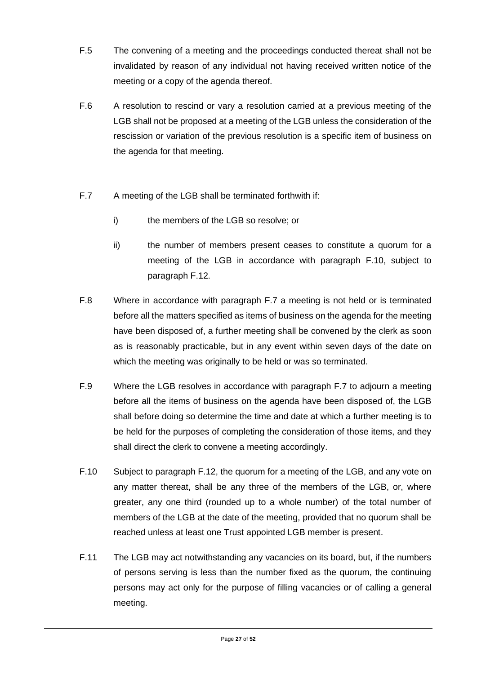- F.5 The convening of a meeting and the proceedings conducted thereat shall not be invalidated by reason of any individual not having received written notice of the meeting or a copy of the agenda thereof.
- F.6 A resolution to rescind or vary a resolution carried at a previous meeting of the LGB shall not be proposed at a meeting of the LGB unless the consideration of the rescission or variation of the previous resolution is a specific item of business on the agenda for that meeting.
- F.7 A meeting of the LGB shall be terminated forthwith if:
	- i) the members of the LGB so resolve; or
	- ii) the number of members present ceases to constitute a quorum for a meeting of the LGB in accordance with paragraph F.10, subject to paragraph F.12.
- F.8 Where in accordance with paragraph F.7 a meeting is not held or is terminated before all the matters specified as items of business on the agenda for the meeting have been disposed of, a further meeting shall be convened by the clerk as soon as is reasonably practicable, but in any event within seven days of the date on which the meeting was originally to be held or was so terminated.
- F.9 Where the LGB resolves in accordance with paragraph F.7 to adjourn a meeting before all the items of business on the agenda have been disposed of, the LGB shall before doing so determine the time and date at which a further meeting is to be held for the purposes of completing the consideration of those items, and they shall direct the clerk to convene a meeting accordingly.
- F.10 Subject to paragraph F.12, the quorum for a meeting of the LGB, and any vote on any matter thereat, shall be any three of the members of the LGB, or, where greater, any one third (rounded up to a whole number) of the total number of members of the LGB at the date of the meeting, provided that no quorum shall be reached unless at least one Trust appointed LGB member is present.
- F.11 The LGB may act notwithstanding any vacancies on its board, but, if the numbers of persons serving is less than the number fixed as the quorum, the continuing persons may act only for the purpose of filling vacancies or of calling a general meeting.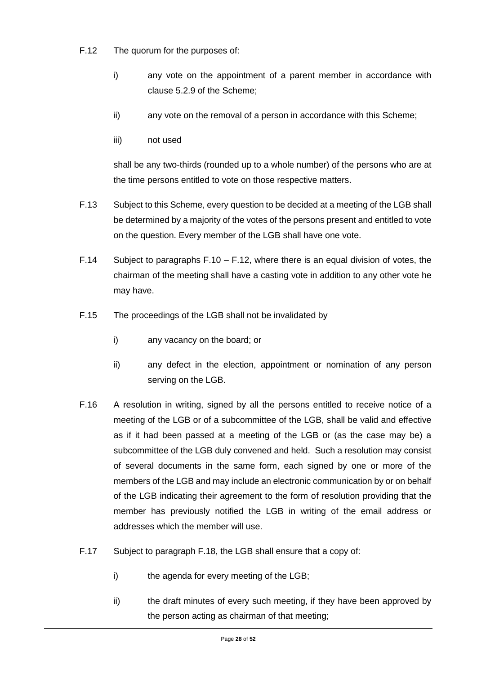- F.12 The quorum for the purposes of:
	- i) any vote on the appointment of a parent member in accordance with clause 5.2.9 of the Scheme;
	- ii) any vote on the removal of a person in accordance with this Scheme;
	- iii) not used

shall be any two-thirds (rounded up to a whole number) of the persons who are at the time persons entitled to vote on those respective matters.

- F.13 Subject to this Scheme, every question to be decided at a meeting of the LGB shall be determined by a majority of the votes of the persons present and entitled to vote on the question. Every member of the LGB shall have one vote.
- F.14 Subject to paragraphs F.10 F.12, where there is an equal division of votes, the chairman of the meeting shall have a casting vote in addition to any other vote he may have.
- F.15 The proceedings of the LGB shall not be invalidated by
	- i) any vacancy on the board; or
	- ii) any defect in the election, appointment or nomination of any person serving on the LGB.
- F.16 A resolution in writing, signed by all the persons entitled to receive notice of a meeting of the LGB or of a subcommittee of the LGB, shall be valid and effective as if it had been passed at a meeting of the LGB or (as the case may be) a subcommittee of the LGB duly convened and held. Such a resolution may consist of several documents in the same form, each signed by one or more of the members of the LGB and may include an electronic communication by or on behalf of the LGB indicating their agreement to the form of resolution providing that the member has previously notified the LGB in writing of the email address or addresses which the member will use.
- F.17 Subject to paragraph F.18, the LGB shall ensure that a copy of:
	- i) the agenda for every meeting of the LGB;
	- ii) the draft minutes of every such meeting, if they have been approved by the person acting as chairman of that meeting;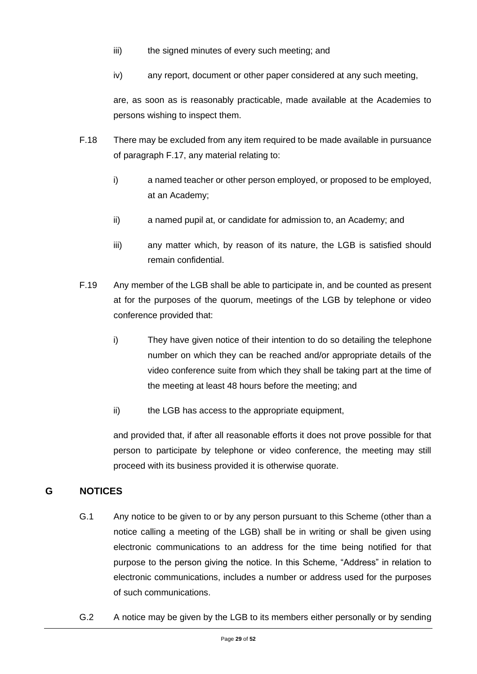- iii) the signed minutes of every such meeting; and
- iv) any report, document or other paper considered at any such meeting,

are, as soon as is reasonably practicable, made available at the Academies to persons wishing to inspect them.

- F.18 There may be excluded from any item required to be made available in pursuance of paragraph F.17, any material relating to:
	- i) a named teacher or other person employed, or proposed to be employed, at an Academy;
	- ii) a named pupil at, or candidate for admission to, an Academy; and
	- iii) any matter which, by reason of its nature, the LGB is satisfied should remain confidential.
- F.19 Any member of the LGB shall be able to participate in, and be counted as present at for the purposes of the quorum, meetings of the LGB by telephone or video conference provided that:
	- i) They have given notice of their intention to do so detailing the telephone number on which they can be reached and/or appropriate details of the video conference suite from which they shall be taking part at the time of the meeting at least 48 hours before the meeting; and
	- ii) the LGB has access to the appropriate equipment,

and provided that, if after all reasonable efforts it does not prove possible for that person to participate by telephone or video conference, the meeting may still proceed with its business provided it is otherwise quorate.

### **G NOTICES**

- G.1 Any notice to be given to or by any person pursuant to this Scheme (other than a notice calling a meeting of the LGB) shall be in writing or shall be given using electronic communications to an address for the time being notified for that purpose to the person giving the notice. In this Scheme, "Address" in relation to electronic communications, includes a number or address used for the purposes of such communications.
- G.2 A notice may be given by the LGB to its members either personally or by sending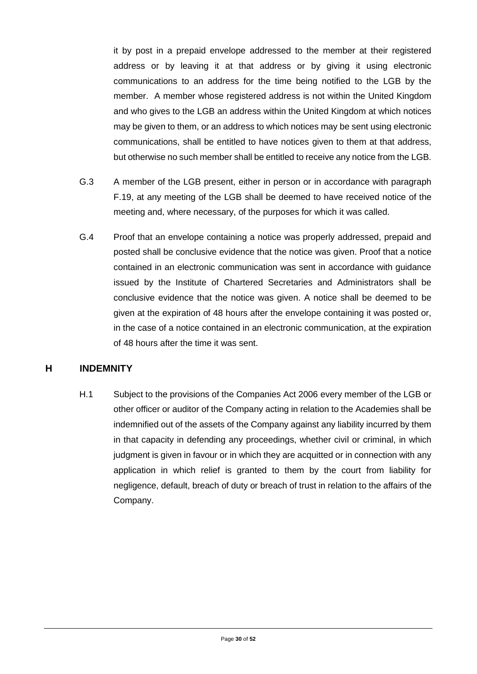it by post in a prepaid envelope addressed to the member at their registered address or by leaving it at that address or by giving it using electronic communications to an address for the time being notified to the LGB by the member. A member whose registered address is not within the United Kingdom and who gives to the LGB an address within the United Kingdom at which notices may be given to them, or an address to which notices may be sent using electronic communications, shall be entitled to have notices given to them at that address, but otherwise no such member shall be entitled to receive any notice from the LGB.

- G.3 A member of the LGB present, either in person or in accordance with paragraph F.19, at any meeting of the LGB shall be deemed to have received notice of the meeting and, where necessary, of the purposes for which it was called.
- G.4 Proof that an envelope containing a notice was properly addressed, prepaid and posted shall be conclusive evidence that the notice was given. Proof that a notice contained in an electronic communication was sent in accordance with guidance issued by the Institute of Chartered Secretaries and Administrators shall be conclusive evidence that the notice was given. A notice shall be deemed to be given at the expiration of 48 hours after the envelope containing it was posted or, in the case of a notice contained in an electronic communication, at the expiration of 48 hours after the time it was sent.

#### **H INDEMNITY**

H.1 Subject to the provisions of the Companies Act 2006 every member of the LGB or other officer or auditor of the Company acting in relation to the Academies shall be indemnified out of the assets of the Company against any liability incurred by them in that capacity in defending any proceedings, whether civil or criminal, in which judgment is given in favour or in which they are acquitted or in connection with any application in which relief is granted to them by the court from liability for negligence, default, breach of duty or breach of trust in relation to the affairs of the Company.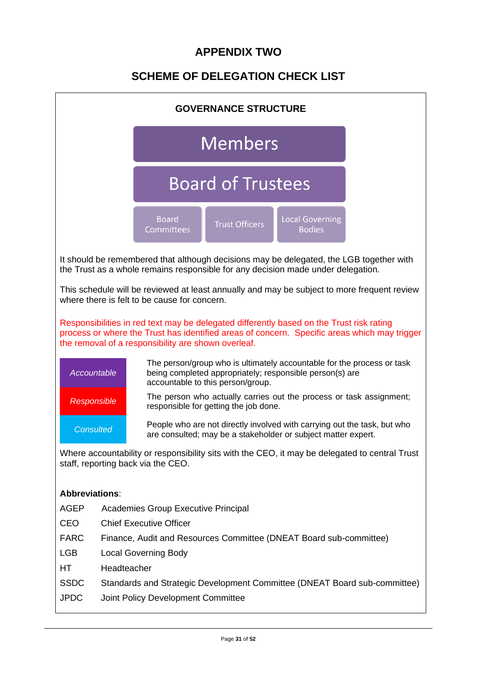# **APPENDIX TWO**

# **SCHEME OF DELEGATION CHECK LIST**

| <b>GOVERNANCE STRUCTURE</b> |                                                                    |                                                                                                                                                                             |                                                                                                                                                                         |                                         |                                                                                              |  |  |  |  |  |
|-----------------------------|--------------------------------------------------------------------|-----------------------------------------------------------------------------------------------------------------------------------------------------------------------------|-------------------------------------------------------------------------------------------------------------------------------------------------------------------------|-----------------------------------------|----------------------------------------------------------------------------------------------|--|--|--|--|--|
|                             | <b>Members</b>                                                     |                                                                                                                                                                             |                                                                                                                                                                         |                                         |                                                                                              |  |  |  |  |  |
| <b>Board of Trustees</b>    |                                                                    |                                                                                                                                                                             |                                                                                                                                                                         |                                         |                                                                                              |  |  |  |  |  |
|                             |                                                                    | <b>Board</b><br><b>Committees</b>                                                                                                                                           | <b>Trust Officers</b>                                                                                                                                                   | <b>Local Governing</b><br><b>Bodies</b> |                                                                                              |  |  |  |  |  |
|                             |                                                                    | It should be remembered that although decisions may be delegated, the LGB together with<br>the Trust as a whole remains responsible for any decision made under delegation. |                                                                                                                                                                         |                                         |                                                                                              |  |  |  |  |  |
|                             |                                                                    | This schedule will be reviewed at least annually and may be subject to more frequent review<br>where there is felt to be cause for concern.                                 |                                                                                                                                                                         |                                         |                                                                                              |  |  |  |  |  |
|                             |                                                                    | Responsibilities in red text may be delegated differently based on the Trust risk rating<br>the removal of a responsibility are shown overleaf.                             |                                                                                                                                                                         |                                         | process or where the Trust has identified areas of concern. Specific areas which may trigger |  |  |  |  |  |
| Accountable                 |                                                                    |                                                                                                                                                                             | The person/group who is ultimately accountable for the process or task<br>being completed appropriately; responsible person(s) are<br>accountable to this person/group. |                                         |                                                                                              |  |  |  |  |  |
| Responsible                 |                                                                    |                                                                                                                                                                             | The person who actually carries out the process or task assignment;<br>responsible for getting the job done.                                                            |                                         |                                                                                              |  |  |  |  |  |
| <b>Consulted</b>            |                                                                    |                                                                                                                                                                             | People who are not directly involved with carrying out the task, but who<br>are consulted; may be a stakeholder or subject matter expert.                               |                                         |                                                                                              |  |  |  |  |  |
|                             |                                                                    | Where accountability or responsibility sits with the CEO, it may be delegated to central Trust<br>staff, reporting back via the CEO.                                        |                                                                                                                                                                         |                                         |                                                                                              |  |  |  |  |  |
| <b>Abbreviations:</b>       |                                                                    |                                                                                                                                                                             |                                                                                                                                                                         |                                         |                                                                                              |  |  |  |  |  |
| <b>AGEP</b>                 |                                                                    | <b>Academies Group Executive Principal</b>                                                                                                                                  |                                                                                                                                                                         |                                         |                                                                                              |  |  |  |  |  |
| <b>CEO</b>                  | <b>Chief Executive Officer</b>                                     |                                                                                                                                                                             |                                                                                                                                                                         |                                         |                                                                                              |  |  |  |  |  |
| <b>FARC</b>                 | Finance, Audit and Resources Committee (DNEAT Board sub-committee) |                                                                                                                                                                             |                                                                                                                                                                         |                                         |                                                                                              |  |  |  |  |  |
| <b>LGB</b>                  |                                                                    | <b>Local Governing Body</b>                                                                                                                                                 |                                                                                                                                                                         |                                         |                                                                                              |  |  |  |  |  |
| HT.                         | Headteacher                                                        |                                                                                                                                                                             |                                                                                                                                                                         |                                         |                                                                                              |  |  |  |  |  |
| <b>SSDC</b>                 |                                                                    |                                                                                                                                                                             |                                                                                                                                                                         |                                         | Standards and Strategic Development Committee (DNEAT Board sub-committee)                    |  |  |  |  |  |
| <b>JPDC</b>                 |                                                                    | Joint Policy Development Committee                                                                                                                                          |                                                                                                                                                                         |                                         |                                                                                              |  |  |  |  |  |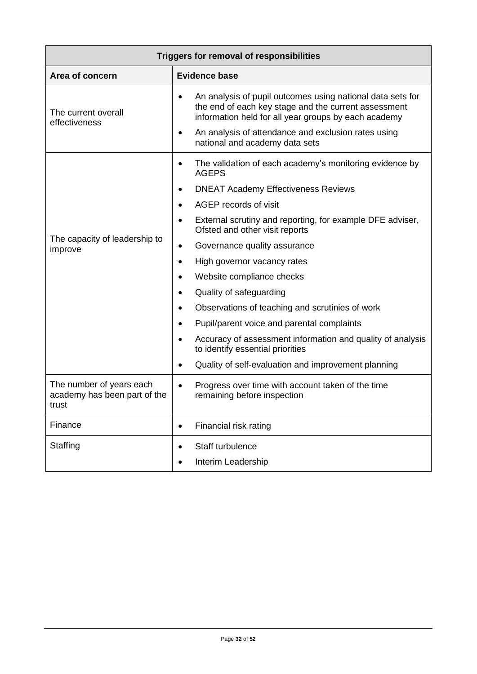| <b>Triggers for removal of responsibilities</b>                   |                                                                                                                                                                                         |  |  |  |  |  |  |  |
|-------------------------------------------------------------------|-----------------------------------------------------------------------------------------------------------------------------------------------------------------------------------------|--|--|--|--|--|--|--|
| Area of concern                                                   | <b>Evidence base</b>                                                                                                                                                                    |  |  |  |  |  |  |  |
| The current overall<br>effectiveness                              | An analysis of pupil outcomes using national data sets for<br>$\bullet$<br>the end of each key stage and the current assessment<br>information held for all year groups by each academy |  |  |  |  |  |  |  |
|                                                                   | An analysis of attendance and exclusion rates using<br>$\bullet$<br>national and academy data sets                                                                                      |  |  |  |  |  |  |  |
|                                                                   | The validation of each academy's monitoring evidence by<br>$\bullet$<br><b>AGEPS</b>                                                                                                    |  |  |  |  |  |  |  |
|                                                                   | <b>DNEAT Academy Effectiveness Reviews</b>                                                                                                                                              |  |  |  |  |  |  |  |
|                                                                   | AGEP records of visit                                                                                                                                                                   |  |  |  |  |  |  |  |
|                                                                   | External scrutiny and reporting, for example DFE adviser,<br>$\bullet$<br>Ofsted and other visit reports                                                                                |  |  |  |  |  |  |  |
| The capacity of leadership to<br>improve                          | Governance quality assurance<br>$\bullet$                                                                                                                                               |  |  |  |  |  |  |  |
|                                                                   | High governor vacancy rates<br>$\bullet$                                                                                                                                                |  |  |  |  |  |  |  |
|                                                                   | Website compliance checks                                                                                                                                                               |  |  |  |  |  |  |  |
|                                                                   | Quality of safeguarding<br>$\bullet$                                                                                                                                                    |  |  |  |  |  |  |  |
|                                                                   | Observations of teaching and scrutinies of work                                                                                                                                         |  |  |  |  |  |  |  |
|                                                                   | Pupil/parent voice and parental complaints                                                                                                                                              |  |  |  |  |  |  |  |
|                                                                   | Accuracy of assessment information and quality of analysis<br>to identify essential priorities                                                                                          |  |  |  |  |  |  |  |
|                                                                   | Quality of self-evaluation and improvement planning                                                                                                                                     |  |  |  |  |  |  |  |
| The number of years each<br>academy has been part of the<br>trust | Progress over time with account taken of the time<br>$\bullet$<br>remaining before inspection                                                                                           |  |  |  |  |  |  |  |
| Finance                                                           | Financial risk rating<br>$\bullet$                                                                                                                                                      |  |  |  |  |  |  |  |
| Staffing                                                          | Staff turbulence<br>$\bullet$                                                                                                                                                           |  |  |  |  |  |  |  |
|                                                                   | Interim Leadership<br>$\bullet$                                                                                                                                                         |  |  |  |  |  |  |  |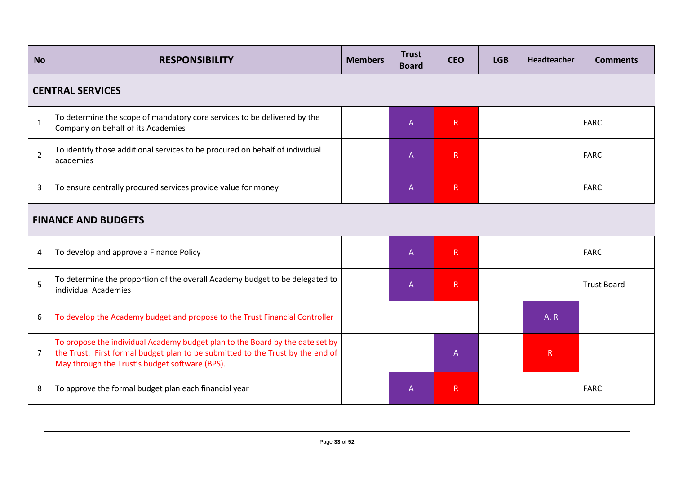| <b>No</b>      | <b>RESPONSIBILITY</b>                                                                                                                                                                                             | <b>Members</b> | <b>Trust</b><br><b>Board</b> | <b>CEO</b>   | <b>LGB</b> | Headteacher | <b>Comments</b>    |  |  |  |  |  |
|----------------|-------------------------------------------------------------------------------------------------------------------------------------------------------------------------------------------------------------------|----------------|------------------------------|--------------|------------|-------------|--------------------|--|--|--|--|--|
|                | <b>CENTRAL SERVICES</b>                                                                                                                                                                                           |                |                              |              |            |             |                    |  |  |  |  |  |
| $\mathbf{1}$   | To determine the scope of mandatory core services to be delivered by the<br>Company on behalf of its Academies                                                                                                    |                | $\mathsf{A}$                 | R            |            |             | <b>FARC</b>        |  |  |  |  |  |
| $\overline{2}$ | To identify those additional services to be procured on behalf of individual<br>academies                                                                                                                         |                | $\mathsf{A}$                 | $\mathsf{R}$ |            |             | <b>FARC</b>        |  |  |  |  |  |
| 3              | To ensure centrally procured services provide value for money                                                                                                                                                     |                | $\mathsf A$                  | $\mathsf R$  |            |             | <b>FARC</b>        |  |  |  |  |  |
|                | <b>FINANCE AND BUDGETS</b>                                                                                                                                                                                        |                |                              |              |            |             |                    |  |  |  |  |  |
| 4              | To develop and approve a Finance Policy                                                                                                                                                                           |                | $\overline{A}$               | $\mathsf{R}$ |            |             | <b>FARC</b>        |  |  |  |  |  |
| 5              | To determine the proportion of the overall Academy budget to be delegated to<br>individual Academies                                                                                                              |                | $\mathsf{A}$                 | R            |            |             | <b>Trust Board</b> |  |  |  |  |  |
| 6              | To develop the Academy budget and propose to the Trust Financial Controller                                                                                                                                       |                |                              |              |            | A, R        |                    |  |  |  |  |  |
| $\overline{7}$ | To propose the individual Academy budget plan to the Board by the date set by<br>the Trust. First formal budget plan to be submitted to the Trust by the end of<br>May through the Trust's budget software (BPS). |                |                              | A            |            | R           |                    |  |  |  |  |  |
| 8              | To approve the formal budget plan each financial year                                                                                                                                                             |                | A                            | $\mathsf R$  |            |             | <b>FARC</b>        |  |  |  |  |  |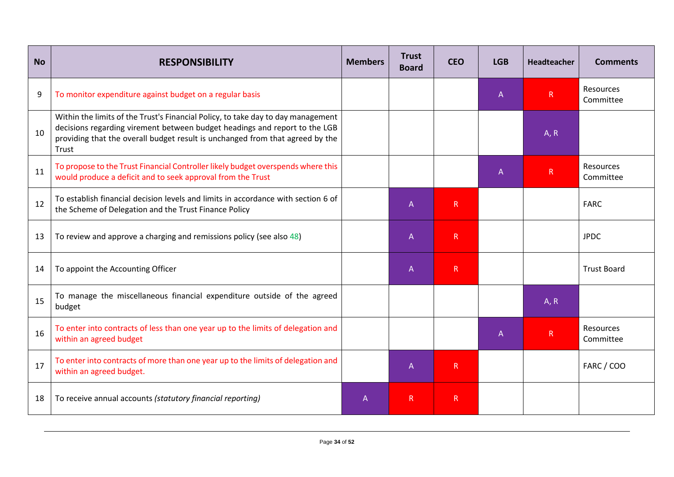| <b>No</b> | <b>RESPONSIBILITY</b>                                                                                                                                                                                                                                    | <b>Members</b> | <b>Trust</b><br><b>Board</b> | <b>CEO</b>   | <b>LGB</b>     | Headteacher  | <b>Comments</b>        |
|-----------|----------------------------------------------------------------------------------------------------------------------------------------------------------------------------------------------------------------------------------------------------------|----------------|------------------------------|--------------|----------------|--------------|------------------------|
| 9         | To monitor expenditure against budget on a regular basis                                                                                                                                                                                                 |                |                              |              | $\mathsf{A}$   | $\mathsf R$  | Resources<br>Committee |
| 10        | Within the limits of the Trust's Financial Policy, to take day to day management<br>decisions regarding virement between budget headings and report to the LGB<br>providing that the overall budget result is unchanged from that agreed by the<br>Trust |                |                              |              |                | A, R         |                        |
| 11        | To propose to the Trust Financial Controller likely budget overspends where this<br>would produce a deficit and to seek approval from the Trust                                                                                                          |                |                              |              | A              | R            | Resources<br>Committee |
| 12        | To establish financial decision levels and limits in accordance with section 6 of<br>the Scheme of Delegation and the Trust Finance Policy                                                                                                               |                | A                            | $\mathsf{R}$ |                |              | <b>FARC</b>            |
| 13        | To review and approve a charging and remissions policy (see also 48)                                                                                                                                                                                     |                | A                            | R            |                |              | <b>JPDC</b>            |
| 14        | To appoint the Accounting Officer                                                                                                                                                                                                                        |                | A                            | $\mathsf{R}$ |                |              | <b>Trust Board</b>     |
| 15        | To manage the miscellaneous financial expenditure outside of the agreed<br>budget                                                                                                                                                                        |                |                              |              |                | A, R         |                        |
| 16        | To enter into contracts of less than one year up to the limits of delegation and<br>within an agreed budget                                                                                                                                              |                |                              |              | $\overline{A}$ | $\mathsf{R}$ | Resources<br>Committee |
| 17        | To enter into contracts of more than one year up to the limits of delegation and<br>within an agreed budget.                                                                                                                                             |                | A                            | R.           |                |              | FARC / COO             |
| 18        | To receive annual accounts (statutory financial reporting)                                                                                                                                                                                               | A              | R                            | $\mathsf{R}$ |                |              |                        |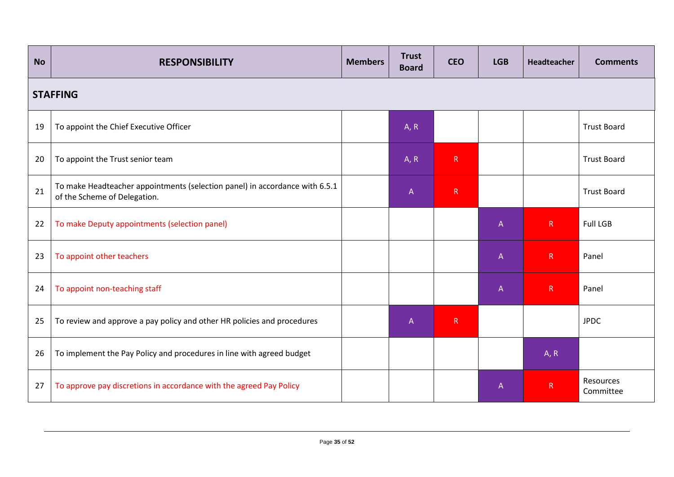| <b>No</b> | <b>RESPONSIBILITY</b>                                                                                       | <b>Members</b> | <b>Trust</b><br><b>Board</b> | <b>CEO</b> | <b>LGB</b>                | Headteacher  | <b>Comments</b>        |  |  |  |  |  |
|-----------|-------------------------------------------------------------------------------------------------------------|----------------|------------------------------|------------|---------------------------|--------------|------------------------|--|--|--|--|--|
|           | <b>STAFFING</b>                                                                                             |                |                              |            |                           |              |                        |  |  |  |  |  |
| 19        | To appoint the Chief Executive Officer                                                                      |                | A, R                         |            |                           |              | <b>Trust Board</b>     |  |  |  |  |  |
| 20        | To appoint the Trust senior team                                                                            |                | A, R                         | R          |                           |              | <b>Trust Board</b>     |  |  |  |  |  |
| 21        | To make Headteacher appointments (selection panel) in accordance with 6.5.1<br>of the Scheme of Delegation. |                | $\mathsf{A}$                 | R          |                           |              | <b>Trust Board</b>     |  |  |  |  |  |
| 22        | To make Deputy appointments (selection panel)                                                               |                |                              |            | $\boldsymbol{\mathsf{A}}$ | R            | <b>Full LGB</b>        |  |  |  |  |  |
| 23        | To appoint other teachers                                                                                   |                |                              |            | $\mathsf A$               | $\mathsf R$  | Panel                  |  |  |  |  |  |
| 24        | To appoint non-teaching staff                                                                               |                |                              |            | $\mathsf{A}$              | $\mathsf{R}$ | Panel                  |  |  |  |  |  |
| 25        | To review and approve a pay policy and other HR policies and procedures                                     |                | $\overline{A}$               | R          |                           |              | <b>JPDC</b>            |  |  |  |  |  |
| 26        | To implement the Pay Policy and procedures in line with agreed budget                                       |                |                              |            |                           | A, R         |                        |  |  |  |  |  |
| 27        | To approve pay discretions in accordance with the agreed Pay Policy                                         |                |                              |            | $\mathsf{A}$              | $\mathsf{R}$ | Resources<br>Committee |  |  |  |  |  |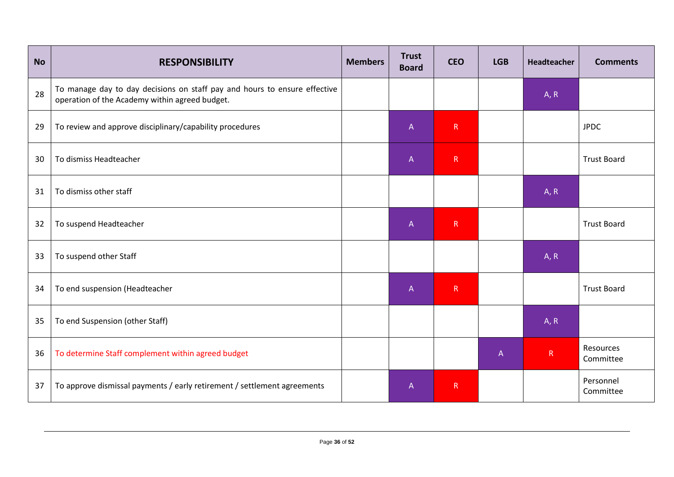| <b>No</b> | <b>RESPONSIBILITY</b>                                                                                                       | <b>Members</b> | <b>Trust</b><br><b>Board</b> | <b>CEO</b> | <b>LGB</b>   | Headteacher  | <b>Comments</b>        |
|-----------|-----------------------------------------------------------------------------------------------------------------------------|----------------|------------------------------|------------|--------------|--------------|------------------------|
| 28        | To manage day to day decisions on staff pay and hours to ensure effective<br>operation of the Academy within agreed budget. |                |                              |            |              | A, R         |                        |
| 29        | To review and approve disciplinary/capability procedures                                                                    |                | $\mathsf A$                  | R          |              |              | <b>JPDC</b>            |
| 30        | To dismiss Headteacher                                                                                                      |                | $\mathsf{A}$                 | R          |              |              | <b>Trust Board</b>     |
| 31        | To dismiss other staff                                                                                                      |                |                              |            |              | A, R         |                        |
| 32        | To suspend Headteacher                                                                                                      |                | $\mathsf A$                  | R          |              |              | <b>Trust Board</b>     |
| 33        | To suspend other Staff                                                                                                      |                |                              |            |              | A, R         |                        |
| 34        | To end suspension (Headteacher                                                                                              |                | $\mathsf A$                  | R          |              |              | <b>Trust Board</b>     |
| 35        | To end Suspension (other Staff)                                                                                             |                |                              |            |              | A, R         |                        |
| 36        | To determine Staff complement within agreed budget                                                                          |                |                              |            | $\mathsf{A}$ | $\mathsf{R}$ | Resources<br>Committee |
| 37        | To approve dismissal payments / early retirement / settlement agreements                                                    |                | $\mathsf{A}$                 | R          |              |              | Personnel<br>Committee |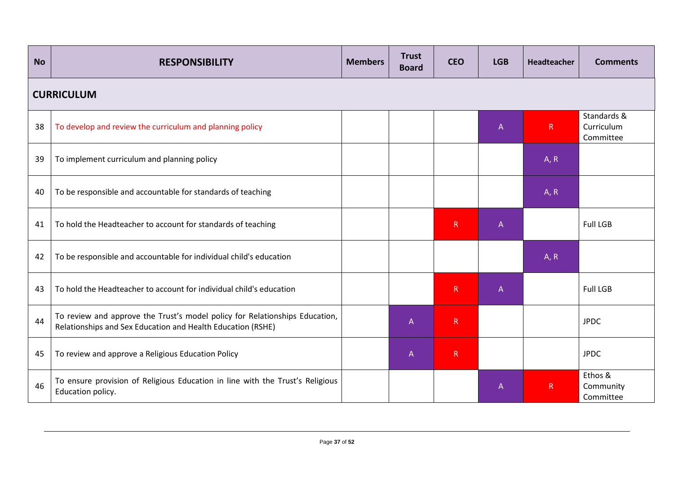| <b>No</b> | <b>RESPONSIBILITY</b>                                                                                                                      | <b>Members</b> | <b>Trust</b><br><b>Board</b> | <b>CEO</b>   | <b>LGB</b>   | Headteacher  | <b>Comments</b>                        |  |  |  |  |  |
|-----------|--------------------------------------------------------------------------------------------------------------------------------------------|----------------|------------------------------|--------------|--------------|--------------|----------------------------------------|--|--|--|--|--|
|           | <b>CURRICULUM</b>                                                                                                                          |                |                              |              |              |              |                                        |  |  |  |  |  |
| 38        | To develop and review the curriculum and planning policy                                                                                   |                |                              |              | $\mathsf{A}$ | $\mathsf{R}$ | Standards &<br>Curriculum<br>Committee |  |  |  |  |  |
| 39        | To implement curriculum and planning policy                                                                                                |                |                              |              |              | A, R         |                                        |  |  |  |  |  |
| 40        | To be responsible and accountable for standards of teaching                                                                                |                |                              |              |              | A, R         |                                        |  |  |  |  |  |
| 41        | To hold the Headteacher to account for standards of teaching                                                                               |                |                              | R            | $\mathsf{A}$ |              | <b>Full LGB</b>                        |  |  |  |  |  |
| 42        | To be responsible and accountable for individual child's education                                                                         |                |                              |              |              | A, R         |                                        |  |  |  |  |  |
| 43        | To hold the Headteacher to account for individual child's education                                                                        |                |                              | R            | $\mathsf{A}$ |              | <b>Full LGB</b>                        |  |  |  |  |  |
| 44        | To review and approve the Trust's model policy for Relationships Education,<br>Relationships and Sex Education and Health Education (RSHE) |                | $\mathsf{A}$                 | $\mathsf{R}$ |              |              | <b>JPDC</b>                            |  |  |  |  |  |
| 45        | To review and approve a Religious Education Policy                                                                                         |                | $\overline{A}$               | $\mathsf{R}$ |              |              | <b>JPDC</b>                            |  |  |  |  |  |
| 46        | To ensure provision of Religious Education in line with the Trust's Religious<br>Education policy.                                         |                |                              |              | $\mathsf{A}$ | $\mathsf{R}$ | Ethos &<br>Community<br>Committee      |  |  |  |  |  |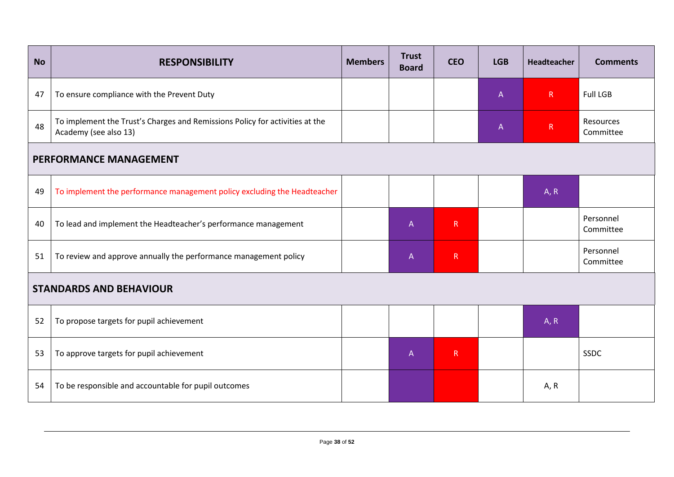| <b>No</b> | <b>RESPONSIBILITY</b>                                                                                 | <b>Members</b> | <b>Trust</b><br><b>Board</b> | <b>CEO</b>   | <b>LGB</b> | Headteacher | <b>Comments</b>        |  |  |  |  |
|-----------|-------------------------------------------------------------------------------------------------------|----------------|------------------------------|--------------|------------|-------------|------------------------|--|--|--|--|
| 47        | To ensure compliance with the Prevent Duty                                                            |                |                              |              | A          | R           | <b>Full LGB</b>        |  |  |  |  |
| 48        | To implement the Trust's Charges and Remissions Policy for activities at the<br>Academy (see also 13) |                |                              |              | A          | ${\sf R}$   | Resources<br>Committee |  |  |  |  |
|           | <b>PERFORMANCE MANAGEMENT</b>                                                                         |                |                              |              |            |             |                        |  |  |  |  |
| 49        | To implement the performance management policy excluding the Headteacher                              |                |                              |              |            | A, R        |                        |  |  |  |  |
| 40        | To lead and implement the Headteacher's performance management                                        |                | $\mathsf{A}$                 | $\mathsf{R}$ |            |             | Personnel<br>Committee |  |  |  |  |
| 51        | To review and approve annually the performance management policy                                      |                | $\mathsf{A}$                 | $\mathsf R$  |            |             | Personnel<br>Committee |  |  |  |  |
|           | <b>STANDARDS AND BEHAVIOUR</b>                                                                        |                |                              |              |            |             |                        |  |  |  |  |
| 52        | To propose targets for pupil achievement                                                              |                |                              |              |            | A, R        |                        |  |  |  |  |
| 53        | To approve targets for pupil achievement                                                              |                | $\mathsf{A}$                 | $\mathsf{R}$ |            |             | SSDC                   |  |  |  |  |
| 54        | To be responsible and accountable for pupil outcomes                                                  |                |                              |              |            | A, R        |                        |  |  |  |  |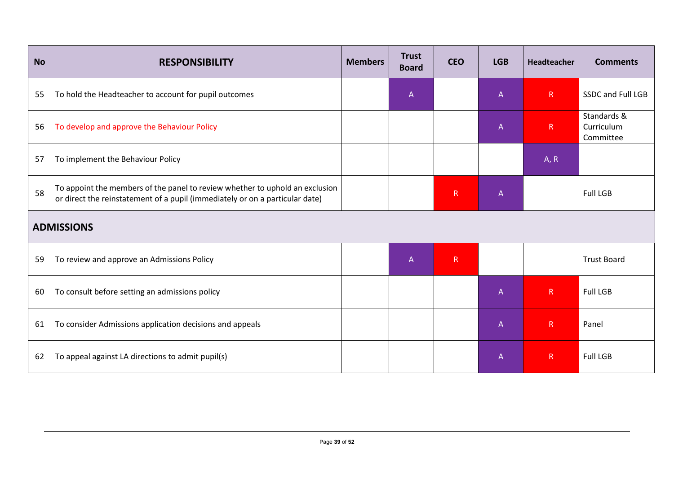| <b>No</b> | <b>RESPONSIBILITY</b>                                                                                                                                        | <b>Members</b> | <b>Trust</b><br><b>Board</b> | <b>CEO</b>   | <b>LGB</b>   | Headteacher  | <b>Comments</b>                        |
|-----------|--------------------------------------------------------------------------------------------------------------------------------------------------------------|----------------|------------------------------|--------------|--------------|--------------|----------------------------------------|
| 55        | To hold the Headteacher to account for pupil outcomes                                                                                                        |                | A                            |              | $\mathsf{A}$ | R            | SSDC and Full LGB                      |
| 56        | To develop and approve the Behaviour Policy                                                                                                                  |                |                              |              | $\mathsf{A}$ | $\mathsf{R}$ | Standards &<br>Curriculum<br>Committee |
| 57        | To implement the Behaviour Policy                                                                                                                            |                |                              |              |              | A, R         |                                        |
| 58        | To appoint the members of the panel to review whether to uphold an exclusion<br>or direct the reinstatement of a pupil (immediately or on a particular date) |                |                              | $\mathsf{R}$ | $\mathsf{A}$ |              | <b>Full LGB</b>                        |
|           | <b>ADMISSIONS</b>                                                                                                                                            |                |                              |              |              |              |                                        |
| 59        | To review and approve an Admissions Policy                                                                                                                   |                | $\overline{A}$               | R            |              |              | <b>Trust Board</b>                     |
| 60        | To consult before setting an admissions policy                                                                                                               |                |                              |              | $\mathsf A$  | $\mathsf{R}$ | <b>Full LGB</b>                        |
| 61        | To consider Admissions application decisions and appeals                                                                                                     |                |                              |              | $\mathsf{A}$ | R            | Panel                                  |
| 62        | To appeal against LA directions to admit pupil(s)                                                                                                            |                |                              |              | $\mathsf A$  | $\mathsf{R}$ | <b>Full LGB</b>                        |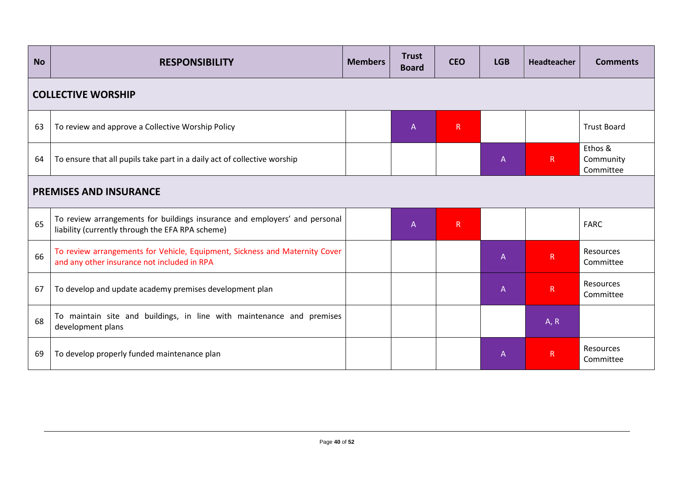| <b>No</b> | <b>RESPONSIBILITY</b>                                                                                                          | <b>CEO</b> | <b>LGB</b> | <b>Headteacher</b> | <b>Comments</b> |                                   |                        |
|-----------|--------------------------------------------------------------------------------------------------------------------------------|------------|------------|--------------------|-----------------|-----------------------------------|------------------------|
|           | <b>COLLECTIVE WORSHIP</b>                                                                                                      |            |            |                    |                 |                                   |                        |
| 63        | To review and approve a Collective Worship Policy                                                                              |            | A          | $\mathsf{R}$       |                 |                                   | <b>Trust Board</b>     |
| 64        | To ensure that all pupils take part in a daily act of collective worship                                                       |            |            | $\mathsf{A}$       | R               | Ethos &<br>Community<br>Committee |                        |
|           | <b>PREMISES AND INSURANCE</b>                                                                                                  |            |            |                    |                 |                                   |                        |
| 65        | To review arrangements for buildings insurance and employers' and personal<br>liability (currently through the EFA RPA scheme) |            | A          | $\mathsf{R}$       |                 |                                   | <b>FARC</b>            |
| 66        | To review arrangements for Vehicle, Equipment, Sickness and Maternity Cover<br>and any other insurance not included in RPA     |            |            |                    | $\overline{A}$  | R                                 | Resources<br>Committee |
| 67        | To develop and update academy premises development plan                                                                        |            |            |                    | $\mathsf{A}$    | $\mathsf{R}$                      | Resources<br>Committee |
| 68        | To maintain site and buildings, in line with maintenance and premises<br>development plans                                     |            |            |                    |                 | A, R                              |                        |
| 69        | To develop properly funded maintenance plan                                                                                    |            |            | $\overline{A}$     | $\mathsf{R}$    | Resources<br>Committee            |                        |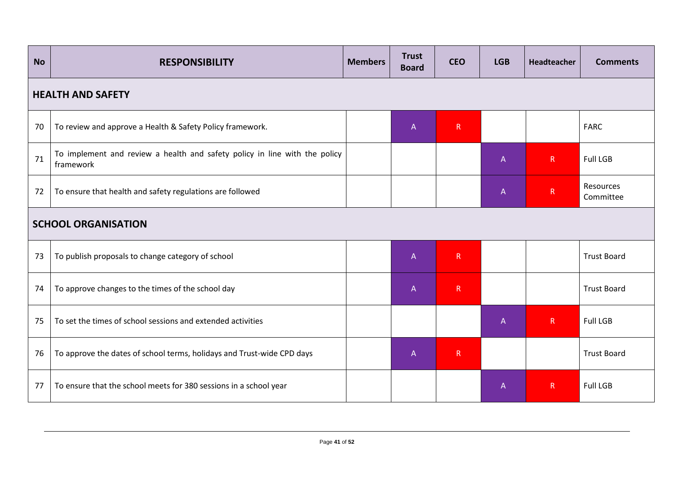| <b>No</b> | <b>RESPONSIBILITY</b>                                                                   | <b>Members</b> | <b>Trust</b><br><b>Board</b> | <b>CEO</b> | <b>LGB</b> | Headteacher  | <b>Comments</b>        |
|-----------|-----------------------------------------------------------------------------------------|----------------|------------------------------|------------|------------|--------------|------------------------|
|           | <b>HEALTH AND SAFETY</b>                                                                |                |                              |            |            |              |                        |
| 70        | To review and approve a Health & Safety Policy framework.                               |                | $\mathsf{A}$                 | R          |            |              | <b>FARC</b>            |
| 71        | To implement and review a health and safety policy in line with the policy<br>framework |                |                              |            | A          | $\mathsf{R}$ | <b>Full LGB</b>        |
| 72        | To ensure that health and safety regulations are followed                               |                |                              |            | A          | $\mathsf R$  | Resources<br>Committee |
|           | <b>SCHOOL ORGANISATION</b>                                                              |                |                              |            |            |              |                        |
| 73        | To publish proposals to change category of school                                       |                | A                            | R          |            |              | <b>Trust Board</b>     |
| 74        | To approve changes to the times of the school day                                       |                | A                            | R          |            |              | <b>Trust Board</b>     |
| 75        | To set the times of school sessions and extended activities                             |                |                              |            | A          | $\mathsf R$  | <b>Full LGB</b>        |
| 76        | To approve the dates of school terms, holidays and Trust-wide CPD days                  |                | A                            | ${\sf R}$  |            |              | <b>Trust Board</b>     |
| 77        | To ensure that the school meets for 380 sessions in a school year                       |                |                              |            | A          | $\mathsf{R}$ | <b>Full LGB</b>        |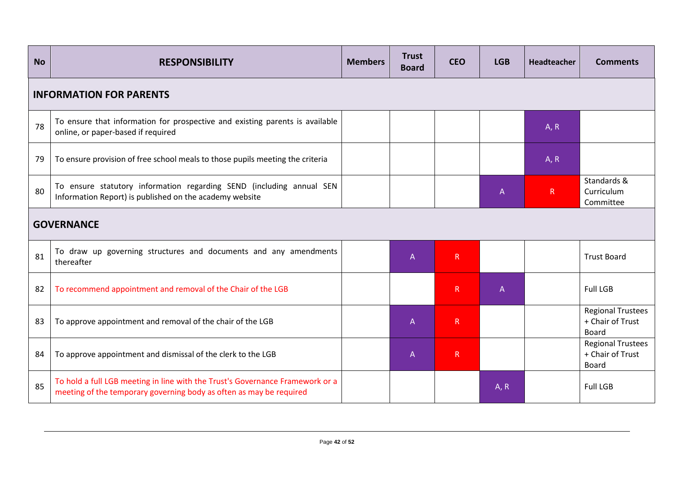| <b>No</b> | <b>RESPONSIBILITY</b>                                                                                                                                | <b>CEO</b>     | <b>LGB</b>   | <b>Headteacher</b> | <b>Comments</b> |                                                              |
|-----------|------------------------------------------------------------------------------------------------------------------------------------------------------|----------------|--------------|--------------------|-----------------|--------------------------------------------------------------|
|           | <b>INFORMATION FOR PARENTS</b>                                                                                                                       |                |              |                    |                 |                                                              |
| 78        | To ensure that information for prospective and existing parents is available<br>online, or paper-based if required                                   | A, R           |              |                    |                 |                                                              |
| 79        | To ensure provision of free school meals to those pupils meeting the criteria                                                                        |                |              |                    | A, R            |                                                              |
| 80        | To ensure statutory information regarding SEND (including annual SEN<br>Information Report) is published on the academy website                      |                |              | A                  | R               | Standards &<br>Curriculum<br>Committee                       |
|           | <b>GOVERNANCE</b>                                                                                                                                    |                |              |                    |                 |                                                              |
| 81        | To draw up governing structures and documents and any amendments<br>thereafter                                                                       | $\overline{A}$ | $\mathsf R$  |                    |                 | <b>Trust Board</b>                                           |
| 82        | To recommend appointment and removal of the Chair of the LGB                                                                                         |                | $\mathsf{R}$ | A                  |                 | <b>Full LGB</b>                                              |
| 83        | To approve appointment and removal of the chair of the LGB                                                                                           | $\mathsf{A}$   | $\mathsf{R}$ |                    |                 | <b>Regional Trustees</b><br>+ Chair of Trust<br><b>Board</b> |
| 84        | To approve appointment and dismissal of the clerk to the LGB                                                                                         | $\mathsf{A}$   | $\mathsf R$  |                    |                 | <b>Regional Trustees</b><br>+ Chair of Trust<br><b>Board</b> |
| 85        | To hold a full LGB meeting in line with the Trust's Governance Framework or a<br>meeting of the temporary governing body as often as may be required |                |              | A, R               |                 | <b>Full LGB</b>                                              |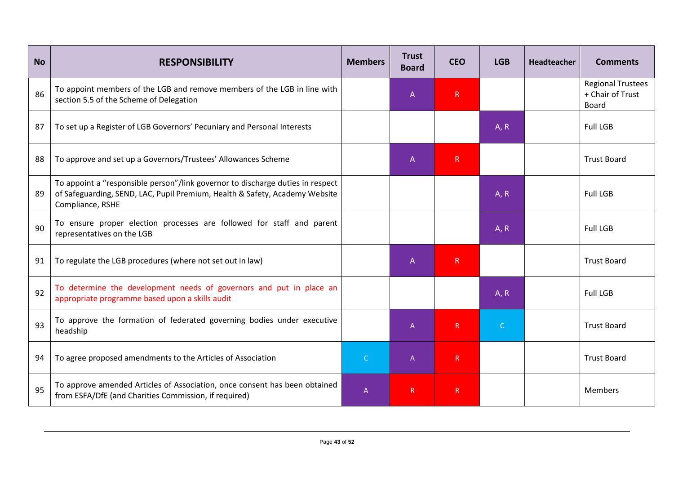| <b>No</b> | <b>RESPONSIBILITY</b>                                                                                                                                                             | <b>Members</b> | <b>Trust</b><br><b>Board</b> | <b>CEO</b>   | <b>LGB</b>   | <b>Headteacher</b> | <b>Comments</b>                                              |
|-----------|-----------------------------------------------------------------------------------------------------------------------------------------------------------------------------------|----------------|------------------------------|--------------|--------------|--------------------|--------------------------------------------------------------|
| 86        | To appoint members of the LGB and remove members of the LGB in line with<br>section 5.5 of the Scheme of Delegation                                                               |                | $\mathsf{A}$                 | ${\sf R}$    |              |                    | <b>Regional Trustees</b><br>+ Chair of Trust<br><b>Board</b> |
| 87        | To set up a Register of LGB Governors' Pecuniary and Personal Interests                                                                                                           |                |                              |              | A, R         |                    | <b>Full LGB</b>                                              |
| 88        | To approve and set up a Governors/Trustees' Allowances Scheme                                                                                                                     |                | $\mathsf{A}$                 | R            |              |                    | <b>Trust Board</b>                                           |
| 89        | To appoint a "responsible person"/link governor to discharge duties in respect<br>of Safeguarding, SEND, LAC, Pupil Premium, Health & Safety, Academy Website<br>Compliance, RSHE |                |                              |              | A, R         |                    | <b>Full LGB</b>                                              |
| 90        | To ensure proper election processes are followed for staff and parent<br>representatives on the LGB                                                                               |                |                              |              | A, R         |                    | <b>Full LGB</b>                                              |
| 91        | To regulate the LGB procedures (where not set out in law)                                                                                                                         |                | A                            | R            |              |                    | <b>Trust Board</b>                                           |
| 92        | To determine the development needs of governors and put in place an<br>appropriate programme based upon a skills audit                                                            |                |                              |              | A, R         |                    | <b>Full LGB</b>                                              |
| 93        | To approve the formation of federated governing bodies under executive<br>headship                                                                                                |                | $\overline{A}$               | $\mathsf{R}$ | $\mathsf{C}$ |                    | <b>Trust Board</b>                                           |
| 94        | To agree proposed amendments to the Articles of Association                                                                                                                       | $\mathsf{C}$   | $\overline{A}$               | R            |              |                    | <b>Trust Board</b>                                           |
| 95        | To approve amended Articles of Association, once consent has been obtained<br>from ESFA/DfE (and Charities Commission, if required)                                               | $\mathsf{A}$   | R                            | $\mathsf R$  |              |                    | <b>Members</b>                                               |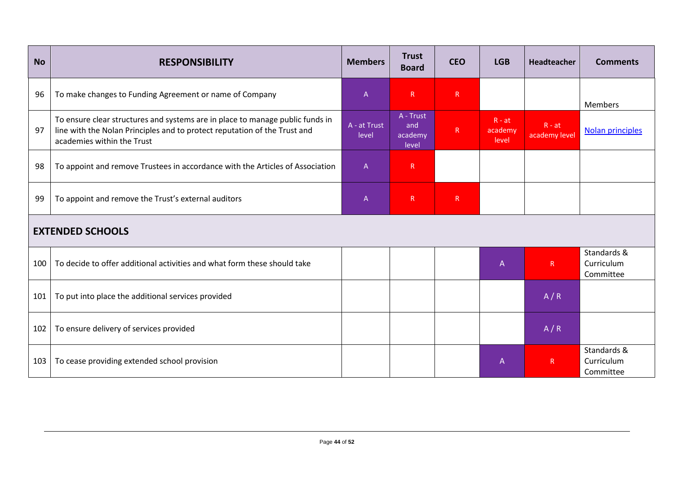| <b>No</b> | <b>RESPONSIBILITY</b>                                                                                                                                                                    | <b>Members</b>        | <b>Trust</b><br><b>Board</b>         | <b>CEO</b>   | <b>LGB</b>                   | <b>Headteacher</b>        | <b>Comments</b>                        |
|-----------|------------------------------------------------------------------------------------------------------------------------------------------------------------------------------------------|-----------------------|--------------------------------------|--------------|------------------------------|---------------------------|----------------------------------------|
| 96        | To make changes to Funding Agreement or name of Company                                                                                                                                  | A                     | $\mathsf{R}$                         | $\mathsf{R}$ |                              |                           | <b>Members</b>                         |
| 97        | To ensure clear structures and systems are in place to manage public funds in<br>line with the Nolan Principles and to protect reputation of the Trust and<br>academies within the Trust | A - at Trust<br>level | A - Trust<br>and<br>academy<br>level | $\mathsf{R}$ | $R - at$<br>academy<br>level | $R - at$<br>academy level | Nolan principles                       |
| 98        | To appoint and remove Trustees in accordance with the Articles of Association                                                                                                            | $\mathsf{A}$          | $\mathsf{R}$                         |              |                              |                           |                                        |
| 99        | To appoint and remove the Trust's external auditors                                                                                                                                      | $\mathsf{A}$          | $\mathsf{R}$                         | $\mathsf{R}$ |                              |                           |                                        |
|           | <b>EXTENDED SCHOOLS</b>                                                                                                                                                                  |                       |                                      |              |                              |                           |                                        |
| 100       | To decide to offer additional activities and what form these should take                                                                                                                 |                       |                                      |              | $\mathsf{A}$                 | R                         | Standards &<br>Curriculum<br>Committee |
| 101       | To put into place the additional services provided                                                                                                                                       |                       |                                      |              |                              | A/R                       |                                        |
| 102       | To ensure delivery of services provided                                                                                                                                                  |                       |                                      |              |                              | A/R                       |                                        |
| 103       | To cease providing extended school provision                                                                                                                                             |                       |                                      |              | $\mathsf{A}$                 | $\mathsf{R}$              | Standards &<br>Curriculum<br>Committee |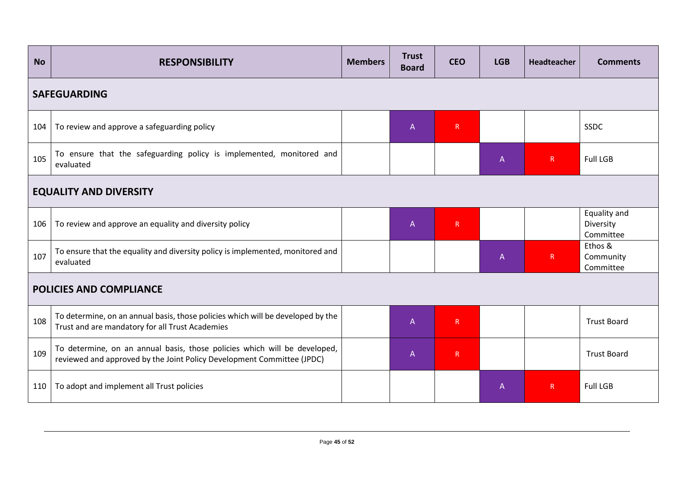| <b>No</b> | <b>RESPONSIBILITY</b>                                                                                                                               | <b>Members</b> | <b>Trust</b><br><b>Board</b> | <b>CEO</b>   | <b>LGB</b>     | Headteacher | <b>Comments</b>                        |  |
|-----------|-----------------------------------------------------------------------------------------------------------------------------------------------------|----------------|------------------------------|--------------|----------------|-------------|----------------------------------------|--|
|           | <b>SAFEGUARDING</b>                                                                                                                                 |                |                              |              |                |             |                                        |  |
| 104       | To review and approve a safeguarding policy                                                                                                         |                | $\overline{A}$               | $\mathsf{R}$ |                |             | <b>SSDC</b>                            |  |
| 105       | To ensure that the safeguarding policy is implemented, monitored and<br>evaluated                                                                   |                |                              |              | $\mathsf{A}$   | R           | <b>Full LGB</b>                        |  |
|           | <b>EQUALITY AND DIVERSITY</b>                                                                                                                       |                |                              |              |                |             |                                        |  |
| 106       | To review and approve an equality and diversity policy                                                                                              |                | $\mathsf{A}$                 | R            |                |             | Equality and<br>Diversity<br>Committee |  |
| 107       | To ensure that the equality and diversity policy is implemented, monitored and<br>evaluated                                                         |                |                              |              | $\overline{A}$ | R           | Ethos &<br>Community<br>Committee      |  |
|           | <b>POLICIES AND COMPLIANCE</b>                                                                                                                      |                |                              |              |                |             |                                        |  |
| 108       | To determine, on an annual basis, those policies which will be developed by the<br>Trust and are mandatory for all Trust Academies                  |                | $\overline{A}$               | $\mathsf{R}$ |                |             | <b>Trust Board</b>                     |  |
| 109       | To determine, on an annual basis, those policies which will be developed,<br>reviewed and approved by the Joint Policy Development Committee (JPDC) |                | A                            | R            |                |             | <b>Trust Board</b>                     |  |
| 110       | To adopt and implement all Trust policies                                                                                                           |                |                              |              | $\mathsf{A}$   | R           | <b>Full LGB</b>                        |  |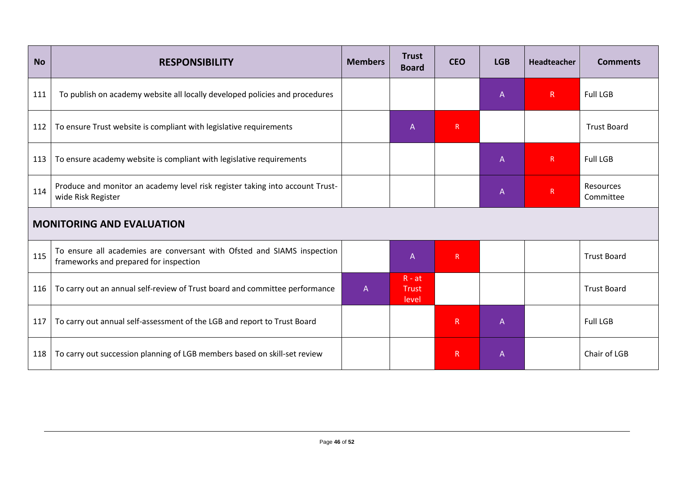| <b>No</b> | <b>RESPONSIBILITY</b>                                                                                             | <b>Members</b> | <b>Trust</b><br><b>Board</b>      | <b>CEO</b>   | <b>LGB</b> | <b>Headteacher</b> | <b>Comments</b>        |
|-----------|-------------------------------------------------------------------------------------------------------------------|----------------|-----------------------------------|--------------|------------|--------------------|------------------------|
| 111       | To publish on academy website all locally developed policies and procedures                                       |                |                                   |              | A          | R                  | <b>Full LGB</b>        |
| 112       | To ensure Trust website is compliant with legislative requirements                                                |                | A                                 | R            |            |                    | <b>Trust Board</b>     |
| 113       | To ensure academy website is compliant with legislative requirements                                              |                |                                   |              | A          | $\mathsf R$        | <b>Full LGB</b>        |
| 114       | Produce and monitor an academy level risk register taking into account Trust-<br>wide Risk Register               |                |                                   |              | A          | R                  | Resources<br>Committee |
|           | <b>MONITORING AND EVALUATION</b>                                                                                  |                |                                   |              |            |                    |                        |
| 115       | To ensure all academies are conversant with Ofsted and SIAMS inspection<br>frameworks and prepared for inspection |                | $\mathsf{A}$                      | $\mathsf{R}$ |            |                    | <b>Trust Board</b>     |
| 116       | To carry out an annual self-review of Trust board and committee performance                                       | A              | $R - at$<br><b>Trust</b><br>level |              |            |                    | <b>Trust Board</b>     |
| 117       | To carry out annual self-assessment of the LGB and report to Trust Board                                          |                |                                   | R            | Α          |                    | <b>Full LGB</b>        |
| 118       | To carry out succession planning of LGB members based on skill-set review                                         |                |                                   | $\mathsf R$  | Α          |                    | Chair of LGB           |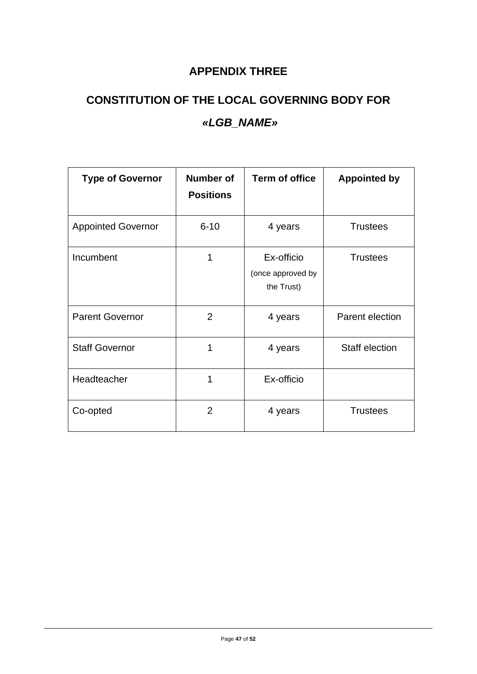# **APPENDIX THREE**

# **CONSTITUTION OF THE LOCAL GOVERNING BODY FOR** *«LGB\_NAME»*

| <b>Type of Governor</b>   | <b>Number of</b><br><b>Positions</b> | <b>Term of office</b>                         | <b>Appointed by</b> |
|---------------------------|--------------------------------------|-----------------------------------------------|---------------------|
| <b>Appointed Governor</b> | $6 - 10$                             | 4 years                                       | <b>Trustees</b>     |
| Incumbent                 | 1                                    | Ex-officio<br>(once approved by<br>the Trust) | <b>Trustees</b>     |
| <b>Parent Governor</b>    | $\overline{2}$                       | 4 years                                       | Parent election     |
| <b>Staff Governor</b>     | 1                                    | 4 years                                       | Staff election      |
| Headteacher               | 1                                    | Ex-officio                                    |                     |
| Co-opted                  | $\overline{2}$                       | 4 years                                       | <b>Trustees</b>     |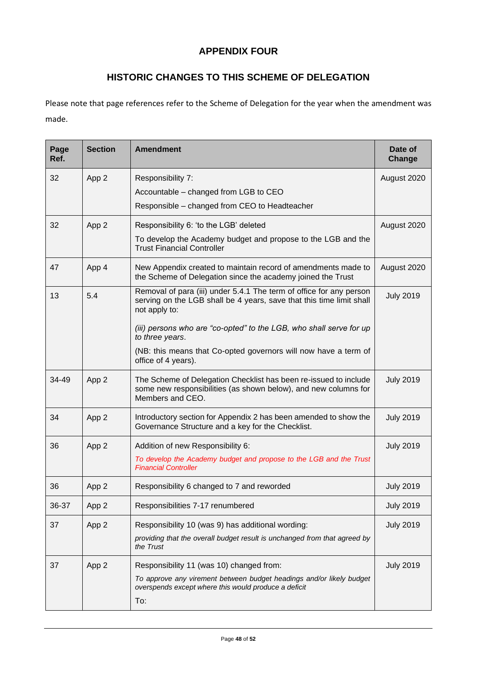#### **APPENDIX FOUR**

## **HISTORIC CHANGES TO THIS SCHEME OF DELEGATION**

Please note that page references refer to the Scheme of Delegation for the year when the amendment was made.

| Page<br>Ref. | <b>Section</b> | <b>Amendment</b>                                                                                                                                             | Date of<br>Change |
|--------------|----------------|--------------------------------------------------------------------------------------------------------------------------------------------------------------|-------------------|
| 32           | App 2          | Responsibility 7:                                                                                                                                            | August 2020       |
|              |                | Accountable - changed from LGB to CEO                                                                                                                        |                   |
|              |                | Responsible - changed from CEO to Headteacher                                                                                                                |                   |
| 32           | App 2          | Responsibility 6: 'to the LGB' deleted                                                                                                                       | August 2020       |
|              |                | To develop the Academy budget and propose to the LGB and the<br><b>Trust Financial Controller</b>                                                            |                   |
| 47           | App 4          | New Appendix created to maintain record of amendments made to<br>the Scheme of Delegation since the academy joined the Trust                                 | August 2020       |
| 13           | 5.4            | Removal of para (iii) under 5.4.1 The term of office for any person<br>serving on the LGB shall be 4 years, save that this time limit shall<br>not apply to: | <b>July 2019</b>  |
|              |                | (iii) persons who are "co-opted" to the LGB, who shall serve for up<br>to three years.                                                                       |                   |
|              |                | (NB: this means that Co-opted governors will now have a term of<br>office of 4 years).                                                                       |                   |
| 34-49        | App 2          | The Scheme of Delegation Checklist has been re-issued to include<br>some new responsibilities (as shown below), and new columns for<br>Members and CEO.      | <b>July 2019</b>  |
| 34           | App 2          | Introductory section for Appendix 2 has been amended to show the<br>Governance Structure and a key for the Checklist.                                        | <b>July 2019</b>  |
| 36           | App 2          | Addition of new Responsibility 6:                                                                                                                            | <b>July 2019</b>  |
|              |                | To develop the Academy budget and propose to the LGB and the Trust<br><b>Financial Controller</b>                                                            |                   |
| 36           | App 2          | Responsibility 6 changed to 7 and reworded                                                                                                                   | <b>July 2019</b>  |
| 36-37        | App 2          | Responsibilities 7-17 renumbered                                                                                                                             | <b>July 2019</b>  |
| 37           | App 2          | Responsibility 10 (was 9) has additional wording:                                                                                                            | <b>July 2019</b>  |
|              |                | providing that the overall budget result is unchanged from that agreed by<br>the Trust                                                                       |                   |
| 37           | App 2          | Responsibility 11 (was 10) changed from:                                                                                                                     | <b>July 2019</b>  |
|              |                | To approve any virement between budget headings and/or likely budget<br>overspends except where this would produce a deficit                                 |                   |
|              |                | To:                                                                                                                                                          |                   |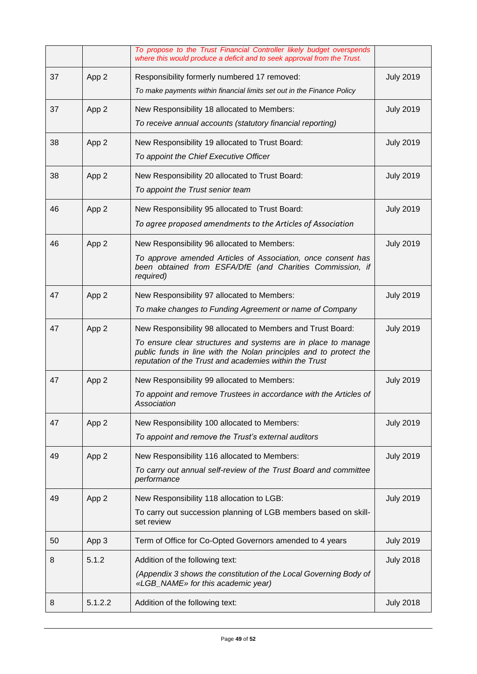|    |         | To propose to the Trust Financial Controller likely budget overspends<br>where this would produce a deficit and to seek approval from the Trust.                                                                                                            |                  |
|----|---------|-------------------------------------------------------------------------------------------------------------------------------------------------------------------------------------------------------------------------------------------------------------|------------------|
| 37 | App 2   | Responsibility formerly numbered 17 removed:<br>To make payments within financial limits set out in the Finance Policy                                                                                                                                      | <b>July 2019</b> |
| 37 | App 2   | New Responsibility 18 allocated to Members:<br>To receive annual accounts (statutory financial reporting)                                                                                                                                                   | <b>July 2019</b> |
| 38 | App 2   | New Responsibility 19 allocated to Trust Board:<br>To appoint the Chief Executive Officer                                                                                                                                                                   | <b>July 2019</b> |
| 38 | App 2   | New Responsibility 20 allocated to Trust Board:<br>To appoint the Trust senior team                                                                                                                                                                         | <b>July 2019</b> |
| 46 | App 2   | New Responsibility 95 allocated to Trust Board:<br>To agree proposed amendments to the Articles of Association                                                                                                                                              | <b>July 2019</b> |
| 46 | App 2   | New Responsibility 96 allocated to Members:<br>To approve amended Articles of Association, once consent has<br>been obtained from ESFA/DfE (and Charities Commission, if<br>required)                                                                       | <b>July 2019</b> |
| 47 | App 2   | New Responsibility 97 allocated to Members:<br>To make changes to Funding Agreement or name of Company                                                                                                                                                      | <b>July 2019</b> |
| 47 | App 2   | New Responsibility 98 allocated to Members and Trust Board:<br>To ensure clear structures and systems are in place to manage<br>public funds in line with the Nolan principles and to protect the<br>reputation of the Trust and academies within the Trust | <b>July 2019</b> |
| 47 | App 2   | New Responsibility 99 allocated to Members:<br>To appoint and remove Trustees in accordance with the Articles of<br>Association                                                                                                                             | <b>July 2019</b> |
| 47 | App 2   | New Responsibility 100 allocated to Members:<br>To appoint and remove the Trust's external auditors                                                                                                                                                         | <b>July 2019</b> |
| 49 | App 2   | New Responsibility 116 allocated to Members:<br>To carry out annual self-review of the Trust Board and committee<br>performance                                                                                                                             | <b>July 2019</b> |
| 49 | App 2   | New Responsibility 118 allocation to LGB:<br>To carry out succession planning of LGB members based on skill-<br>set review                                                                                                                                  | <b>July 2019</b> |
| 50 | App 3   | Term of Office for Co-Opted Governors amended to 4 years                                                                                                                                                                                                    | <b>July 2019</b> |
| 8  | 5.1.2   | Addition of the following text:<br>(Appendix 3 shows the constitution of the Local Governing Body of<br>«LGB_NAME» for this academic year)                                                                                                                  | <b>July 2018</b> |
| 8  | 5.1.2.2 | Addition of the following text:                                                                                                                                                                                                                             | <b>July 2018</b> |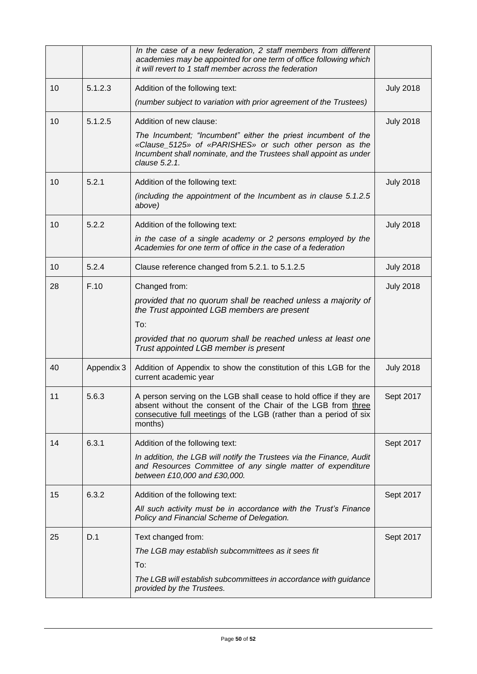|    |            | In the case of a new federation, 2 staff members from different<br>academies may be appointed for one term of office following which<br>it will revert to 1 staff member across the federation                      |                  |
|----|------------|---------------------------------------------------------------------------------------------------------------------------------------------------------------------------------------------------------------------|------------------|
| 10 | 5.1.2.3    | Addition of the following text:                                                                                                                                                                                     | <b>July 2018</b> |
|    |            | (number subject to variation with prior agreement of the Trustees)                                                                                                                                                  |                  |
| 10 | 5.1.2.5    | Addition of new clause:                                                                                                                                                                                             | <b>July 2018</b> |
|    |            | The Incumbent; "Incumbent" either the priest incumbent of the<br>«Clause_5125» of «PARISHES» or such other person as the<br>Incumbent shall nominate, and the Trustees shall appoint as under<br>clause 5.2.1.      |                  |
| 10 | 5.2.1      | Addition of the following text:                                                                                                                                                                                     | <b>July 2018</b> |
|    |            | (including the appointment of the Incumbent as in clause 5.1.2.5)<br>above)                                                                                                                                         |                  |
| 10 | 5.2.2      | Addition of the following text:                                                                                                                                                                                     | <b>July 2018</b> |
|    |            | in the case of a single academy or 2 persons employed by the<br>Academies for one term of office in the case of a federation                                                                                        |                  |
| 10 | 5.2.4      | Clause reference changed from 5.2.1. to 5.1.2.5                                                                                                                                                                     | <b>July 2018</b> |
| 28 | F.10       | Changed from:                                                                                                                                                                                                       | <b>July 2018</b> |
|    |            | provided that no quorum shall be reached unless a majority of<br>the Trust appointed LGB members are present                                                                                                        |                  |
|    |            | To:                                                                                                                                                                                                                 |                  |
|    |            | provided that no quorum shall be reached unless at least one<br>Trust appointed LGB member is present                                                                                                               |                  |
| 40 | Appendix 3 | Addition of Appendix to show the constitution of this LGB for the<br>current academic year                                                                                                                          | <b>July 2018</b> |
| 11 | 5.6.3      | A person serving on the LGB shall cease to hold office if they are<br>absent without the consent of the Chair of the LGB from three<br>consecutive full meetings of the LGB (rather than a period of six<br>months) | Sept 2017        |
| 14 | 6.3.1      | Addition of the following text:                                                                                                                                                                                     | Sept 2017        |
|    |            | In addition, the LGB will notify the Trustees via the Finance, Audit<br>and Resources Committee of any single matter of expenditure<br>between £10,000 and £30,000.                                                 |                  |
| 15 | 6.3.2      | Addition of the following text:                                                                                                                                                                                     | Sept 2017        |
|    |            | All such activity must be in accordance with the Trust's Finance<br>Policy and Financial Scheme of Delegation.                                                                                                      |                  |
| 25 | D.1        | Text changed from:                                                                                                                                                                                                  | Sept 2017        |
|    |            | The LGB may establish subcommittees as it sees fit                                                                                                                                                                  |                  |
|    |            | To:                                                                                                                                                                                                                 |                  |
|    |            | The LGB will establish subcommittees in accordance with guidance<br>provided by the Trustees.                                                                                                                       |                  |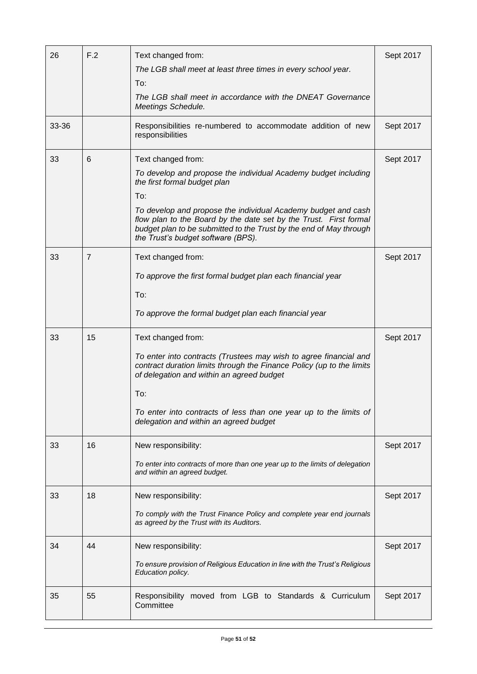| 26    | F.2 | Text changed from:                                                                                                                                                                                                                             | Sept 2017 |
|-------|-----|------------------------------------------------------------------------------------------------------------------------------------------------------------------------------------------------------------------------------------------------|-----------|
|       |     | The LGB shall meet at least three times in every school year.                                                                                                                                                                                  |           |
|       |     | To:                                                                                                                                                                                                                                            |           |
|       |     | The LGB shall meet in accordance with the DNEAT Governance<br><b>Meetings Schedule.</b>                                                                                                                                                        |           |
| 33-36 |     | Responsibilities re-numbered to accommodate addition of new<br>responsibilities                                                                                                                                                                | Sept 2017 |
| 33    | 6   | Text changed from:                                                                                                                                                                                                                             | Sept 2017 |
|       |     | To develop and propose the individual Academy budget including<br>the first formal budget plan                                                                                                                                                 |           |
|       |     | To:                                                                                                                                                                                                                                            |           |
|       |     | To develop and propose the individual Academy budget and cash<br>flow plan to the Board by the date set by the Trust. First formal<br>budget plan to be submitted to the Trust by the end of May through<br>the Trust's budget software (BPS). |           |
| 33    | 7   | Text changed from:                                                                                                                                                                                                                             | Sept 2017 |
|       |     | To approve the first formal budget plan each financial year                                                                                                                                                                                    |           |
|       |     | To:                                                                                                                                                                                                                                            |           |
|       |     | To approve the formal budget plan each financial year                                                                                                                                                                                          |           |
| 33    | 15  | Text changed from:                                                                                                                                                                                                                             | Sept 2017 |
|       |     | To enter into contracts (Trustees may wish to agree financial and<br>contract duration limits through the Finance Policy (up to the limits<br>of delegation and within an agreed budget                                                        |           |
|       |     | To:                                                                                                                                                                                                                                            |           |
|       |     | To enter into contracts of less than one year up to the limits of<br>delegation and within an agreed budget                                                                                                                                    |           |
| 33    | 16  | New responsibility:                                                                                                                                                                                                                            | Sept 2017 |
|       |     | To enter into contracts of more than one year up to the limits of delegation<br>and within an agreed budget.                                                                                                                                   |           |
| 33    | 18  | New responsibility:                                                                                                                                                                                                                            | Sept 2017 |
|       |     | To comply with the Trust Finance Policy and complete year end journals<br>as agreed by the Trust with its Auditors.                                                                                                                            |           |
| 34    | 44  | New responsibility:                                                                                                                                                                                                                            | Sept 2017 |
|       |     | To ensure provision of Religious Education in line with the Trust's Religious<br>Education policy.                                                                                                                                             |           |
| 35    | 55  | Responsibility moved from LGB to Standards & Curriculum<br>Committee                                                                                                                                                                           | Sept 2017 |